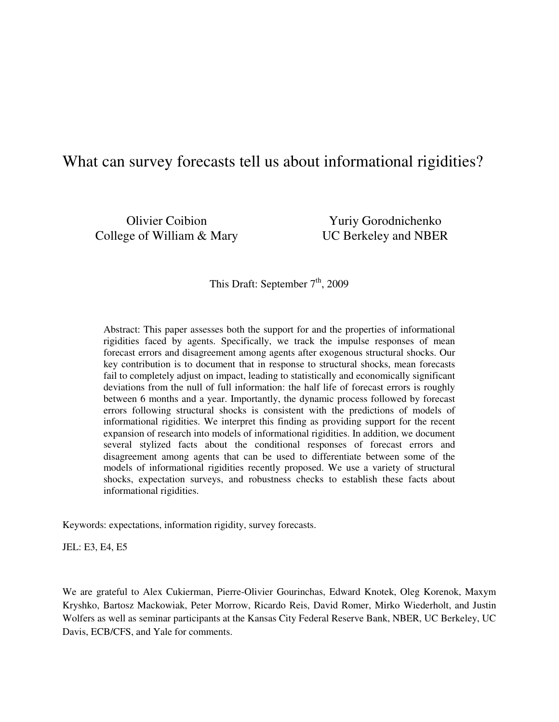# What can survey forecasts tell us about informational rigidities?

Olivier Coibion College of William & Mary

Yuriy Gorodnichenko UC Berkeley and NBER

This Draft: September  $7<sup>th</sup>$ , 2009

Abstract: This paper assesses both the support for and the properties of informational rigidities faced by agents. Specifically, we track the impulse responses of mean forecast errors and disagreement among agents after exogenous structural shocks. Our key contribution is to document that in response to structural shocks, mean forecasts fail to completely adjust on impact, leading to statistically and economically significant deviations from the null of full information: the half life of forecast errors is roughly between 6 months and a year. Importantly, the dynamic process followed by forecast errors following structural shocks is consistent with the predictions of models of informational rigidities. We interpret this finding as providing support for the recent expansion of research into models of informational rigidities. In addition, we document several stylized facts about the conditional responses of forecast errors and disagreement among agents that can be used to differentiate between some of the models of informational rigidities recently proposed. We use a variety of structural shocks, expectation surveys, and robustness checks to establish these facts about informational rigidities.

Keywords: expectations, information rigidity, survey forecasts.

JEL: E3, E4, E5

We are grateful to Alex Cukierman, Pierre-Olivier Gourinchas, Edward Knotek, Oleg Korenok, Maxym Kryshko, Bartosz Mackowiak, Peter Morrow, Ricardo Reis, David Romer, Mirko Wiederholt, and Justin Wolfers as well as seminar participants at the Kansas City Federal Reserve Bank, NBER, UC Berkeley, UC Davis, ECB/CFS, and Yale for comments.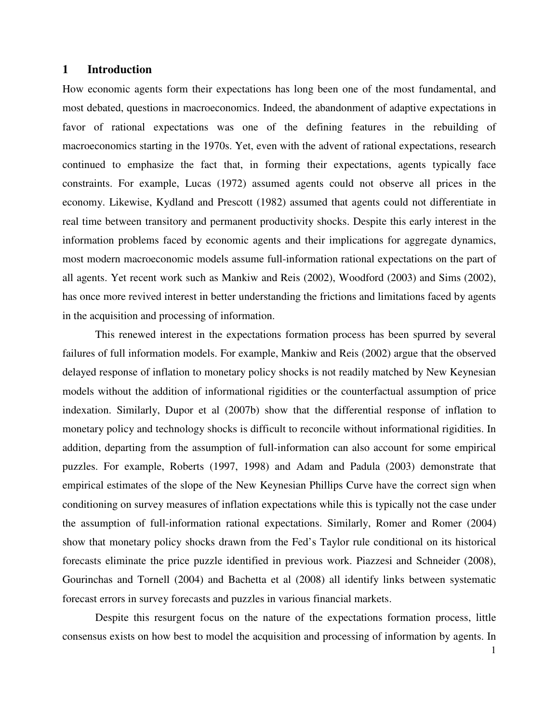## **1 Introduction**

How economic agents form their expectations has long been one of the most fundamental, and most debated, questions in macroeconomics. Indeed, the abandonment of adaptive expectations in favor of rational expectations was one of the defining features in the rebuilding of macroeconomics starting in the 1970s. Yet, even with the advent of rational expectations, research continued to emphasize the fact that, in forming their expectations, agents typically face constraints. For example, Lucas (1972) assumed agents could not observe all prices in the economy. Likewise, Kydland and Prescott (1982) assumed that agents could not differentiate in real time between transitory and permanent productivity shocks. Despite this early interest in the information problems faced by economic agents and their implications for aggregate dynamics, most modern macroeconomic models assume full-information rational expectations on the part of all agents. Yet recent work such as Mankiw and Reis (2002), Woodford (2003) and Sims (2002), has once more revived interest in better understanding the frictions and limitations faced by agents in the acquisition and processing of information.

This renewed interest in the expectations formation process has been spurred by several failures of full information models. For example, Mankiw and Reis (2002) argue that the observed delayed response of inflation to monetary policy shocks is not readily matched by New Keynesian models without the addition of informational rigidities or the counterfactual assumption of price indexation. Similarly, Dupor et al (2007b) show that the differential response of inflation to monetary policy and technology shocks is difficult to reconcile without informational rigidities. In addition, departing from the assumption of full-information can also account for some empirical puzzles. For example, Roberts (1997, 1998) and Adam and Padula (2003) demonstrate that empirical estimates of the slope of the New Keynesian Phillips Curve have the correct sign when conditioning on survey measures of inflation expectations while this is typically not the case under the assumption of full-information rational expectations. Similarly, Romer and Romer (2004) show that monetary policy shocks drawn from the Fed's Taylor rule conditional on its historical forecasts eliminate the price puzzle identified in previous work. Piazzesi and Schneider (2008), Gourinchas and Tornell (2004) and Bachetta et al (2008) all identify links between systematic forecast errors in survey forecasts and puzzles in various financial markets.

Despite this resurgent focus on the nature of the expectations formation process, little consensus exists on how best to model the acquisition and processing of information by agents. In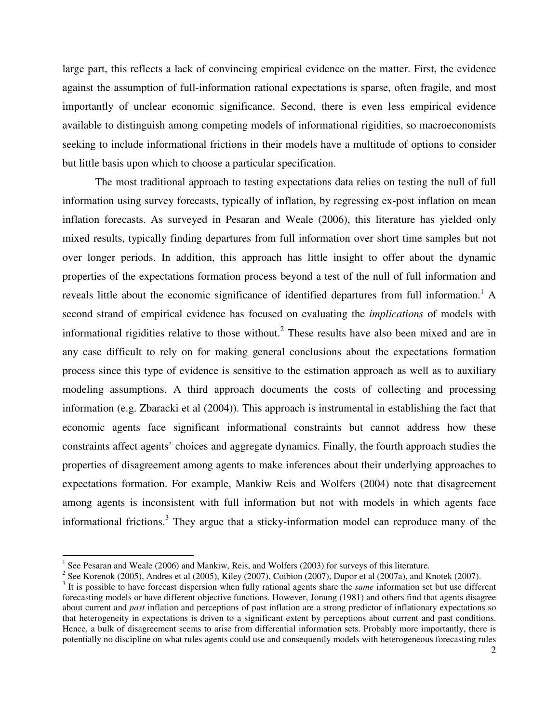large part, this reflects a lack of convincing empirical evidence on the matter. First, the evidence against the assumption of full-information rational expectations is sparse, often fragile, and most importantly of unclear economic significance. Second, there is even less empirical evidence available to distinguish among competing models of informational rigidities, so macroeconomists seeking to include informational frictions in their models have a multitude of options to consider but little basis upon which to choose a particular specification.

The most traditional approach to testing expectations data relies on testing the null of full information using survey forecasts, typically of inflation, by regressing ex-post inflation on mean inflation forecasts. As surveyed in Pesaran and Weale (2006), this literature has yielded only mixed results, typically finding departures from full information over short time samples but not over longer periods. In addition, this approach has little insight to offer about the dynamic properties of the expectations formation process beyond a test of the null of full information and reveals little about the economic significance of identified departures from full information.<sup>1</sup> A second strand of empirical evidence has focused on evaluating the *implications* of models with informational rigidities relative to those without.<sup>2</sup> These results have also been mixed and are in any case difficult to rely on for making general conclusions about the expectations formation process since this type of evidence is sensitive to the estimation approach as well as to auxiliary modeling assumptions. A third approach documents the costs of collecting and processing information (e.g. Zbaracki et al (2004)). This approach is instrumental in establishing the fact that economic agents face significant informational constraints but cannot address how these constraints affect agents' choices and aggregate dynamics. Finally, the fourth approach studies the properties of disagreement among agents to make inferences about their underlying approaches to expectations formation. For example, Mankiw Reis and Wolfers (2004) note that disagreement among agents is inconsistent with full information but not with models in which agents face informational frictions.<sup>3</sup> They argue that a sticky-information model can reproduce many of the

 $<sup>1</sup>$  See Pesaran and Weale (2006) and Mankiw, Reis, and Wolfers (2003) for surveys of this literature.</sup>

<sup>&</sup>lt;sup>2</sup> See Korenok (2005), Andres et al (2005), Kiley (2007), Coibion (2007), Dupor et al (2007a), and Knotek (2007).

<sup>&</sup>lt;sup>3</sup> It is possible to have forecast dispersion when fully rational agents share the *same* information set but use different forecasting models or have different objective functions. However, Jonung (1981) and others find that agents disagree about current and *past* inflation and perceptions of past inflation are a strong predictor of inflationary expectations so that heterogeneity in expectations is driven to a significant extent by perceptions about current and past conditions. Hence, a bulk of disagreement seems to arise from differential information sets. Probably more importantly, there is potentially no discipline on what rules agents could use and consequently models with heterogeneous forecasting rules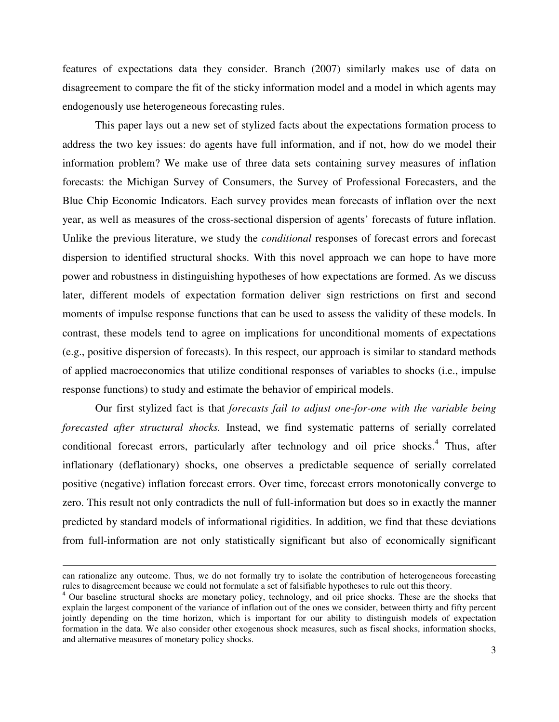features of expectations data they consider. Branch (2007) similarly makes use of data on disagreement to compare the fit of the sticky information model and a model in which agents may endogenously use heterogeneous forecasting rules.

This paper lays out a new set of stylized facts about the expectations formation process to address the two key issues: do agents have full information, and if not, how do we model their information problem? We make use of three data sets containing survey measures of inflation forecasts: the Michigan Survey of Consumers, the Survey of Professional Forecasters, and the Blue Chip Economic Indicators. Each survey provides mean forecasts of inflation over the next year, as well as measures of the cross-sectional dispersion of agents' forecasts of future inflation. Unlike the previous literature, we study the *conditional* responses of forecast errors and forecast dispersion to identified structural shocks. With this novel approach we can hope to have more power and robustness in distinguishing hypotheses of how expectations are formed. As we discuss later, different models of expectation formation deliver sign restrictions on first and second moments of impulse response functions that can be used to assess the validity of these models. In contrast, these models tend to agree on implications for unconditional moments of expectations (e.g., positive dispersion of forecasts). In this respect, our approach is similar to standard methods of applied macroeconomics that utilize conditional responses of variables to shocks (i.e., impulse response functions) to study and estimate the behavior of empirical models.

Our first stylized fact is that *forecasts fail to adjust one-for-one with the variable being forecasted after structural shocks.* Instead, we find systematic patterns of serially correlated conditional forecast errors, particularly after technology and oil price shocks.<sup>4</sup> Thus, after inflationary (deflationary) shocks, one observes a predictable sequence of serially correlated positive (negative) inflation forecast errors. Over time, forecast errors monotonically converge to zero. This result not only contradicts the null of full-information but does so in exactly the manner predicted by standard models of informational rigidities. In addition, we find that these deviations from full-information are not only statistically significant but also of economically significant

 $\overline{\phantom{a}}$ 

can rationalize any outcome. Thus, we do not formally try to isolate the contribution of heterogeneous forecasting rules to disagreement because we could not formulate a set of falsifiable hypotheses to rule out this theory.

<sup>&</sup>lt;sup>4</sup> Our baseline structural shocks are monetary policy, technology, and oil price shocks. These are the shocks that explain the largest component of the variance of inflation out of the ones we consider, between thirty and fifty percent jointly depending on the time horizon, which is important for our ability to distinguish models of expectation formation in the data. We also consider other exogenous shock measures, such as fiscal shocks, information shocks, and alternative measures of monetary policy shocks.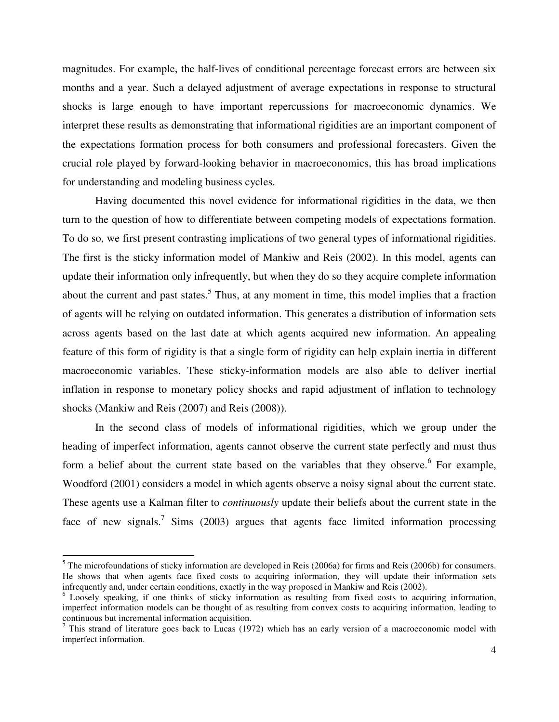magnitudes. For example, the half-lives of conditional percentage forecast errors are between six months and a year. Such a delayed adjustment of average expectations in response to structural shocks is large enough to have important repercussions for macroeconomic dynamics. We interpret these results as demonstrating that informational rigidities are an important component of the expectations formation process for both consumers and professional forecasters. Given the crucial role played by forward-looking behavior in macroeconomics, this has broad implications for understanding and modeling business cycles.

Having documented this novel evidence for informational rigidities in the data, we then turn to the question of how to differentiate between competing models of expectations formation. To do so, we first present contrasting implications of two general types of informational rigidities. The first is the sticky information model of Mankiw and Reis (2002). In this model, agents can update their information only infrequently, but when they do so they acquire complete information about the current and past states.<sup>5</sup> Thus, at any moment in time, this model implies that a fraction of agents will be relying on outdated information. This generates a distribution of information sets across agents based on the last date at which agents acquired new information. An appealing feature of this form of rigidity is that a single form of rigidity can help explain inertia in different macroeconomic variables. These sticky-information models are also able to deliver inertial inflation in response to monetary policy shocks and rapid adjustment of inflation to technology shocks (Mankiw and Reis (2007) and Reis (2008)).

In the second class of models of informational rigidities, which we group under the heading of imperfect information, agents cannot observe the current state perfectly and must thus form a belief about the current state based on the variables that they observe. <sup>6</sup> For example, Woodford (2001) considers a model in which agents observe a noisy signal about the current state. These agents use a Kalman filter to *continuously* update their beliefs about the current state in the face of new signals.<sup>7</sup> Sims  $(2003)$  argues that agents face limited information processing

 $<sup>5</sup>$  The microfoundations of sticky information are developed in Reis (2006a) for firms and Reis (2006b) for consumers.</sup> He shows that when agents face fixed costs to acquiring information, they will update their information sets infrequently and, under certain conditions, exactly in the way proposed in Mankiw and Reis (2002).

<sup>&</sup>lt;sup>6</sup> Loosely speaking, if one thinks of sticky information as resulting from fixed costs to acquiring information, imperfect information models can be thought of as resulting from convex costs to acquiring information, leading to continuous but incremental information acquisition.

 $<sup>7</sup>$  This strand of literature goes back to Lucas (1972) which has an early version of a macroeconomic model with</sup> imperfect information.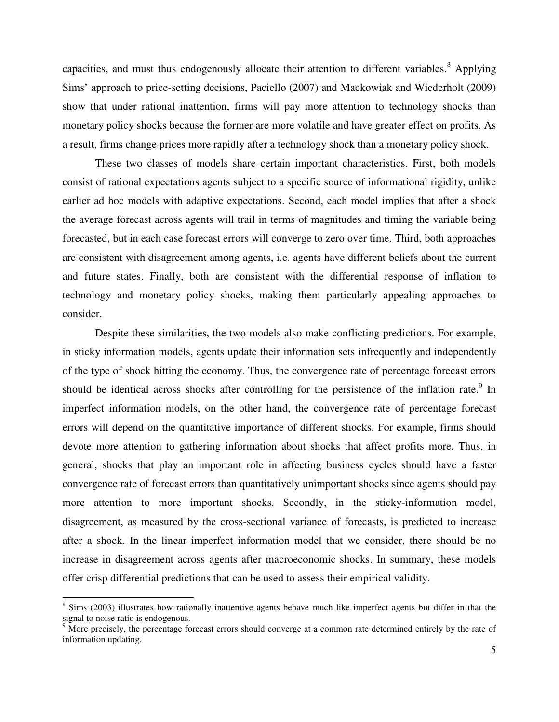capacities, and must thus endogenously allocate their attention to different variables.<sup>8</sup> Applying Sims' approach to price-setting decisions, Paciello (2007) and Mackowiak and Wiederholt (2009) show that under rational inattention, firms will pay more attention to technology shocks than monetary policy shocks because the former are more volatile and have greater effect on profits. As a result, firms change prices more rapidly after a technology shock than a monetary policy shock.

These two classes of models share certain important characteristics. First, both models consist of rational expectations agents subject to a specific source of informational rigidity, unlike earlier ad hoc models with adaptive expectations. Second, each model implies that after a shock the average forecast across agents will trail in terms of magnitudes and timing the variable being forecasted, but in each case forecast errors will converge to zero over time. Third, both approaches are consistent with disagreement among agents, i.e. agents have different beliefs about the current and future states. Finally, both are consistent with the differential response of inflation to technology and monetary policy shocks, making them particularly appealing approaches to consider.

Despite these similarities, the two models also make conflicting predictions. For example, in sticky information models, agents update their information sets infrequently and independently of the type of shock hitting the economy. Thus, the convergence rate of percentage forecast errors should be identical across shocks after controlling for the persistence of the inflation rate.<sup>9</sup> In imperfect information models, on the other hand, the convergence rate of percentage forecast errors will depend on the quantitative importance of different shocks. For example, firms should devote more attention to gathering information about shocks that affect profits more. Thus, in general, shocks that play an important role in affecting business cycles should have a faster convergence rate of forecast errors than quantitatively unimportant shocks since agents should pay more attention to more important shocks. Secondly, in the sticky-information model, disagreement, as measured by the cross-sectional variance of forecasts, is predicted to increase after a shock. In the linear imperfect information model that we consider, there should be no increase in disagreement across agents after macroeconomic shocks. In summary, these models offer crisp differential predictions that can be used to assess their empirical validity.

 $\overline{\phantom{a}}$ 

 $8$  Sims (2003) illustrates how rationally inattentive agents behave much like imperfect agents but differ in that the signal to noise ratio is endogenous.

<sup>&</sup>lt;sup>9</sup> More precisely, the percentage forecast errors should converge at a common rate determined entirely by the rate of information updating.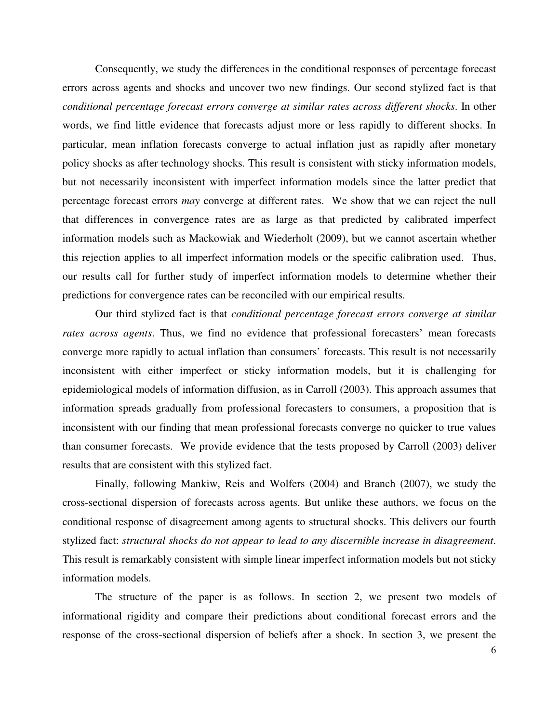Consequently, we study the differences in the conditional responses of percentage forecast errors across agents and shocks and uncover two new findings. Our second stylized fact is that *conditional percentage forecast errors converge at similar rates across different shocks*. In other words, we find little evidence that forecasts adjust more or less rapidly to different shocks. In particular, mean inflation forecasts converge to actual inflation just as rapidly after monetary policy shocks as after technology shocks. This result is consistent with sticky information models, but not necessarily inconsistent with imperfect information models since the latter predict that percentage forecast errors *may* converge at different rates. We show that we can reject the null that differences in convergence rates are as large as that predicted by calibrated imperfect information models such as Mackowiak and Wiederholt (2009), but we cannot ascertain whether this rejection applies to all imperfect information models or the specific calibration used. Thus, our results call for further study of imperfect information models to determine whether their predictions for convergence rates can be reconciled with our empirical results.

Our third stylized fact is that *conditional percentage forecast errors converge at similar rates across agents*. Thus, we find no evidence that professional forecasters' mean forecasts converge more rapidly to actual inflation than consumers' forecasts. This result is not necessarily inconsistent with either imperfect or sticky information models, but it is challenging for epidemiological models of information diffusion, as in Carroll (2003). This approach assumes that information spreads gradually from professional forecasters to consumers, a proposition that is inconsistent with our finding that mean professional forecasts converge no quicker to true values than consumer forecasts. We provide evidence that the tests proposed by Carroll (2003) deliver results that are consistent with this stylized fact.

Finally, following Mankiw, Reis and Wolfers (2004) and Branch (2007), we study the cross-sectional dispersion of forecasts across agents. But unlike these authors, we focus on the conditional response of disagreement among agents to structural shocks. This delivers our fourth stylized fact: *structural shocks do not appear to lead to any discernible increase in disagreement*. This result is remarkably consistent with simple linear imperfect information models but not sticky information models.

The structure of the paper is as follows. In section 2, we present two models of informational rigidity and compare their predictions about conditional forecast errors and the response of the cross-sectional dispersion of beliefs after a shock. In section 3, we present the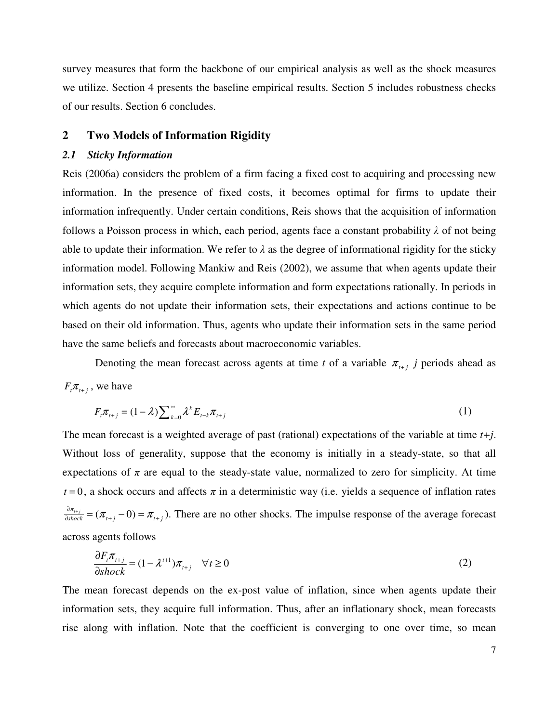survey measures that form the backbone of our empirical analysis as well as the shock measures we utilize. Section 4 presents the baseline empirical results. Section 5 includes robustness checks of our results. Section 6 concludes.

## **2 Two Models of Information Rigidity**

## *2.1 Sticky Information*

Reis (2006a) considers the problem of a firm facing a fixed cost to acquiring and processing new information. In the presence of fixed costs, it becomes optimal for firms to update their information infrequently. Under certain conditions, Reis shows that the acquisition of information follows a Poisson process in which, each period, agents face a constant probability  $\lambda$  of not being able to update their information. We refer to  $\lambda$  as the degree of informational rigidity for the sticky information model. Following Mankiw and Reis (2002), we assume that when agents update their information sets, they acquire complete information and form expectations rationally. In periods in which agents do not update their information sets, their expectations and actions continue to be based on their old information. Thus, agents who update their information sets in the same period have the same beliefs and forecasts about macroeconomic variables.

Denoting the mean forecast across agents at time *t* of a variable  $\pi_{i+j}$  *j* periods ahead as  $F_t \pi_{t+j}$ , we have

$$
F_{t}\pi_{t+j} = (1 - \lambda) \sum_{k=0}^{\infty} \lambda^{k} E_{t-k} \pi_{t+j}
$$
\n<sup>(1)</sup>

The mean forecast is a weighted average of past (rational) expectations of the variable at time *t+j*. Without loss of generality, suppose that the economy is initially in a steady-state, so that all expectations of  $\pi$  are equal to the steady-state value, normalized to zero for simplicity. At time  $t = 0$ , a shock occurs and affects  $\pi$  in a deterministic way (i.e. yields a sequence of inflation rates  $\frac{d\mathcal{M}_{t+j}}{d\mathcal{M}_{t+j}} = (\pi_{t+j} - 0) = \pi_{t+j}$  $\frac{\partial \pi_{t+j}}{\partial shock} = (\pi_{t+j} - 0) = \pi$  $\frac{\partial a_{t+i}}{\partial s \cdot \partial c} = (\pi_{t+i} - 0) = \pi_{t+i}$ . There are no other shocks. The impulse response of the average forecast across agents follows

$$
\frac{\partial F_i \pi_{t+j}}{\partial shock} = (1 - \lambda^{t+1}) \pi_{t+j} \quad \forall t \ge 0
$$
\n(2)

The mean forecast depends on the ex-post value of inflation, since when agents update their information sets, they acquire full information. Thus, after an inflationary shock, mean forecasts rise along with inflation. Note that the coefficient is converging to one over time, so mean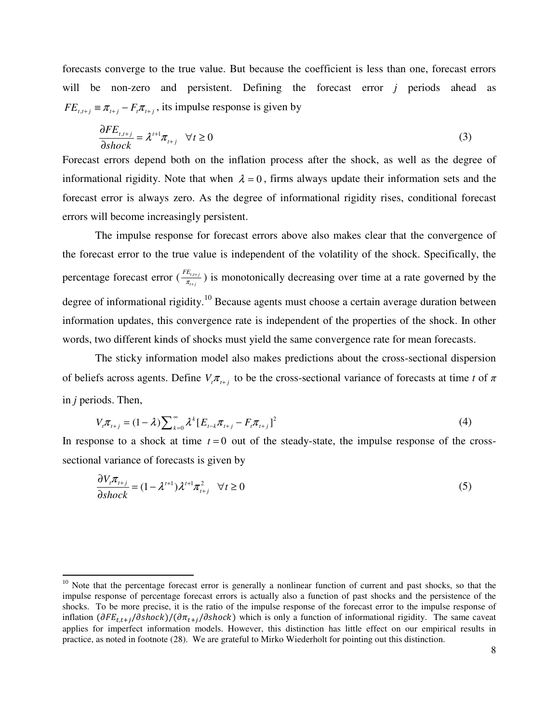forecasts converge to the true value. But because the coefficient is less than one, forecast errors will be non-zero and persistent. Defining the forecast error *j* periods ahead as  $FE_{t,t+i} \equiv \pi_{t+i} - F_t \pi_{t+i}$ , its impulse response is given by

$$
\frac{\partial FE_{t,t+j}}{\partial shock} = \lambda^{t+1} \pi_{t+j} \quad \forall t \ge 0
$$
\n(3)

Forecast errors depend both on the inflation process after the shock, as well as the degree of informational rigidity. Note that when  $\lambda = 0$ , firms always update their information sets and the forecast error is always zero. As the degree of informational rigidity rises, conditional forecast errors will become increasingly persistent.

 The impulse response for forecast errors above also makes clear that the convergence of the forecast error to the true value is independent of the volatility of the shock. Specifically, the percentage forecast error  $\left(\frac{r_{E_{t,i+j}}}{\pi_{t+j}}\right)$ *FE*  $\frac{E_{t,t+}}{\pi}$  $\frac{f(x)}{f(x)}$ ) is monotonically decreasing over time at a rate governed by the degree of informational rigidity.<sup>10</sup> Because agents must choose a certain average duration between information updates, this convergence rate is independent of the properties of the shock. In other words, two different kinds of shocks must yield the same convergence rate for mean forecasts.

 The sticky information model also makes predictions about the cross-sectional dispersion of beliefs across agents. Define  $V_t \pi_{t+j}$  to be the cross-sectional variance of forecasts at time *t* of  $\pi$ in *j* periods. Then,

$$
V_{t}\pi_{t+j} = (1 - \lambda) \sum_{k=0}^{\infty} \lambda^{k} [E_{t-k}\pi_{t+j} - F_{t}\pi_{t+j}]^{2}
$$
\n(4)

In response to a shock at time  $t = 0$  out of the steady-state, the impulse response of the crosssectional variance of forecasts is given by

$$
\frac{\partial V_t \pi_{t+j}}{\partial \text{s}hock} = (1 - \lambda^{t+1})\lambda^{t+1} \pi_{t+j}^2 \quad \forall t \ge 0
$$
\n<sup>(5)</sup>

 $\overline{\phantom{a}}$ 

<sup>&</sup>lt;sup>10</sup> Note that the percentage forecast error is generally a nonlinear function of current and past shocks, so that the impulse response of percentage forecast errors is actually also a function of past shocks and the persistence of the shocks. To be more precise, it is the ratio of the impulse response of the forecast error to the impulse response of inflation  $(\partial FE_{t,t+j}/\partial shock)/(\partial \pi_{t+j}/\partial shock)$  which is only a function of informational rigidity. The same caveat applies for imperfect information models. However, this distinction has little effect on our empirical results in practice, as noted in footnote (28). We are grateful to Mirko Wiederholt for pointing out this distinction.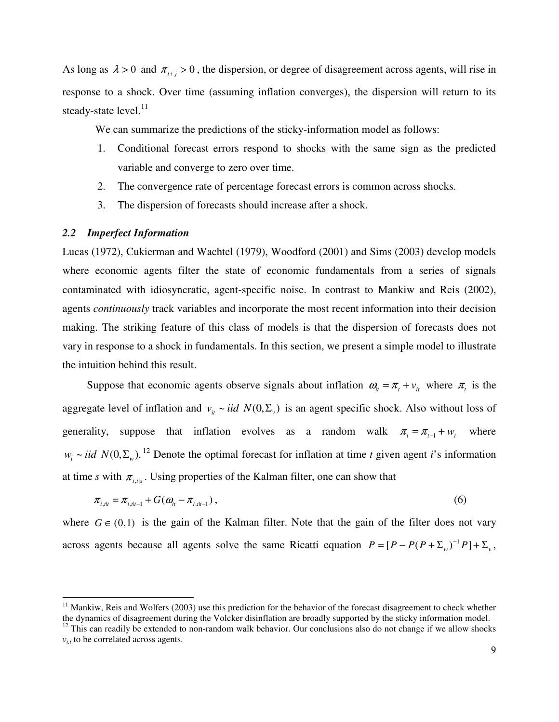As long as  $\lambda > 0$  and  $\pi_{t+j} > 0$ , the dispersion, or degree of disagreement across agents, will rise in response to a shock. Over time (assuming inflation converges), the dispersion will return to its steady-state level. $^{11}$ 

We can summarize the predictions of the sticky-information model as follows:

- 1. Conditional forecast errors respond to shocks with the same sign as the predicted variable and converge to zero over time.
- 2. The convergence rate of percentage forecast errors is common across shocks.
- 3. The dispersion of forecasts should increase after a shock.

#### *2.2 Imperfect Information*

 $\overline{\phantom{a}}$ 

Lucas (1972), Cukierman and Wachtel (1979), Woodford (2001) and Sims (2003) develop models where economic agents filter the state of economic fundamentals from a series of signals contaminated with idiosyncratic, agent-specific noise. In contrast to Mankiw and Reis (2002), agents *continuously* track variables and incorporate the most recent information into their decision making. The striking feature of this class of models is that the dispersion of forecasts does not vary in response to a shock in fundamentals. In this section, we present a simple model to illustrate the intuition behind this result.

Suppose that economic agents observe signals about inflation  $\omega_i = \pi_t + v_i$  where  $\pi_t$  is the aggregate level of inflation and  $v_i \sim \text{i} \text{i} d \text{ } N(0, \Sigma_v)$  is an agent specific shock. Also without loss of generality, suppose that inflation evolves as a random walk  $\pi_t = \pi_{t-1} + w_t$  where  $w_t \sim \text{iid } N(0, \Sigma_w)$ . <sup>12</sup> Denote the optimal forecast for inflation at time *t* given agent *i*'s information at time *s* with  $\pi_{i,t,s}$ . Using properties of the Kalman filter, one can show that

$$
\pi_{i,tt} = \pi_{i,tt-1} + G(\omega_{it} - \pi_{i,tt-1}),
$$
\n(6)

where  $G \in (0,1)$  is the gain of the Kalman filter. Note that the gain of the filter does not vary across agents because all agents solve the same Ricatti equation  $P = [P - P(P + \Sigma_{w})^{-1}P] + \Sigma_{v}$ ,

 $11$  Mankiw, Reis and Wolfers (2003) use this prediction for the behavior of the forecast disagreement to check whether the dynamics of disagreement during the Volcker disinflation are broadly supported by the sticky information model.

 $12$  This can readily be extended to non-random walk behavior. Our conclusions also do not change if we allow shocks  $v_i$ , to be correlated across agents.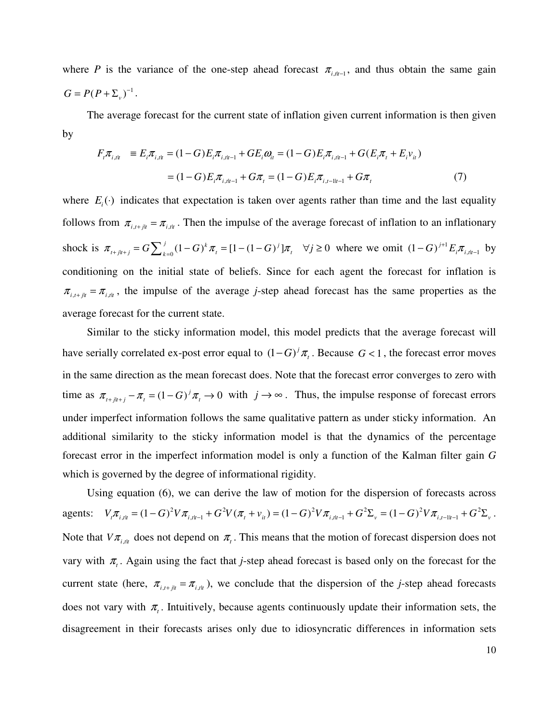where *P* is the variance of the one-step ahead forecast  $\pi_{i, t+1}$ , and thus obtain the same gain  $G = P(P + \Sigma_v)^{-1}$ .

The average forecast for the current state of inflation given current information is then given by

$$
F_{i}\pi_{i,t} = E_{i}\pi_{i,t} = (1-G)E_{i}\pi_{i,t} = (1-G)E_{i}\pi_{i,t-1} + G(E_{i}\pi_{i,t-1} + G(E_{i}\pi_{i} + E_{i}\nu_{it})
$$
  
=  $(1-G)E_{i}\pi_{i,t-1} + G\pi_{i} = (1-G)E_{i}\pi_{i,t-1} + G\pi_{i}$  (7)

where  $E_i(\cdot)$  indicates that expectation is taken over agents rather than time and the last equality follows from  $\pi_{i,t+jt} = \pi_{i,tjt}$ . Then the impulse of the average forecast of inflation to an inflationary shock is  $\pi_{t+j|t+j} = G \sum_{k=0}^{j} (1-G)^k \pi_t = [1 - (1-G)^j] \pi_t$   $\forall j \ge 0$  where we omit  $(1-G)^{j+1} E_i \pi_{i, t|t-1}$  by conditioning on the initial state of beliefs. Since for each agent the forecast for inflation is  $\pi_{i,t+ijk} = \pi_{i,tk}$ , the impulse of the average *j*-step ahead forecast has the same properties as the average forecast for the current state.

Similar to the sticky information model, this model predicts that the average forecast will have serially correlated ex-post error equal to  $(1 - G)^{j} \pi_{i}$ . Because  $G < 1$ , the forecast error moves in the same direction as the mean forecast does. Note that the forecast error converges to zero with time as  $\pi_{t+j|t+j} - \pi_t = (1-G)^j \pi_t \to 0$  with  $j \to \infty$ . Thus, the impulse response of forecast errors under imperfect information follows the same qualitative pattern as under sticky information. An additional similarity to the sticky information model is that the dynamics of the percentage forecast error in the imperfect information model is only a function of the Kalman filter gain *G* which is governed by the degree of informational rigidity.

Using equation (6), we can derive the law of motion for the dispersion of forecasts across agents:  $V_i \pi_{i,ti} = (1-G)^2 V \pi_{i,ti-1} + G^2 V (\pi_t + v_{it}) = (1-G)^2 V \pi_{i,ti-1} + G^2 \Sigma_{v} = (1-G)^2 V \pi_{i,t-1i-1} + G^2 \Sigma_{v}$ . Note that  $V\pi_{i, t}$  does not depend on  $\pi_{i}$ . This means that the motion of forecast dispersion does not vary with  $\pi$ <sub>t</sub>. Again using the fact that *j*-step ahead forecast is based only on the forecast for the current state (here,  $\pi_{i,t+jt} = \pi_{i,tt}$ ), we conclude that the dispersion of the *j*-step ahead forecasts does not vary with  $\pi$ <sub>t</sub>. Intuitively, because agents continuously update their information sets, the disagreement in their forecasts arises only due to idiosyncratic differences in information sets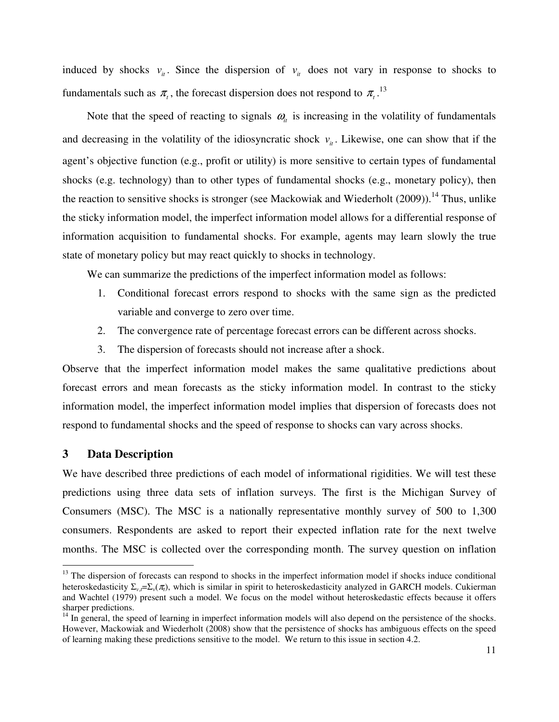induced by shocks  $v_i$ . Since the dispersion of  $v_i$  does not vary in response to shocks to fundamentals such as  $\pi$ , the forecast dispersion does not respond to  $\pi$ <sup>13</sup>

Note that the speed of reacting to signals  $\omega_i$  is increasing in the volatility of fundamentals and decreasing in the volatility of the idiosyncratic shock  $v_i$ . Likewise, one can show that if the agent's objective function (e.g., profit or utility) is more sensitive to certain types of fundamental shocks (e.g. technology) than to other types of fundamental shocks (e.g., monetary policy), then the reaction to sensitive shocks is stronger (see Mackowiak and Wiederholt  $(2009)$ ).<sup>14</sup> Thus, unlike the sticky information model, the imperfect information model allows for a differential response of information acquisition to fundamental shocks. For example, agents may learn slowly the true state of monetary policy but may react quickly to shocks in technology.

We can summarize the predictions of the imperfect information model as follows:

- 1. Conditional forecast errors respond to shocks with the same sign as the predicted variable and converge to zero over time.
- 2. The convergence rate of percentage forecast errors can be different across shocks.
- 3. The dispersion of forecasts should not increase after a shock.

Observe that the imperfect information model makes the same qualitative predictions about forecast errors and mean forecasts as the sticky information model. In contrast to the sticky information model, the imperfect information model implies that dispersion of forecasts does not respond to fundamental shocks and the speed of response to shocks can vary across shocks.

## **3 Data Description**

 $\overline{\phantom{a}}$ 

We have described three predictions of each model of informational rigidities. We will test these predictions using three data sets of inflation surveys. The first is the Michigan Survey of Consumers (MSC). The MSC is a nationally representative monthly survey of 500 to 1,300 consumers. Respondents are asked to report their expected inflation rate for the next twelve months. The MSC is collected over the corresponding month. The survey question on inflation

<sup>&</sup>lt;sup>13</sup> The dispersion of forecasts can respond to shocks in the imperfect information model if shocks induce conditional heteroskedasticity  $\Sigma_v = \Sigma_v(\pi)$ , which is similar in spirit to heteroskedasticity analyzed in GARCH models. Cukierman and Wachtel (1979) present such a model. We focus on the model without heteroskedastic effects because it offers sharper predictions.

 $14$  In general, the speed of learning in imperfect information models will also depend on the persistence of the shocks. However, Mackowiak and Wiederholt (2008) show that the persistence of shocks has ambiguous effects on the speed of learning making these predictions sensitive to the model. We return to this issue in section 4.2.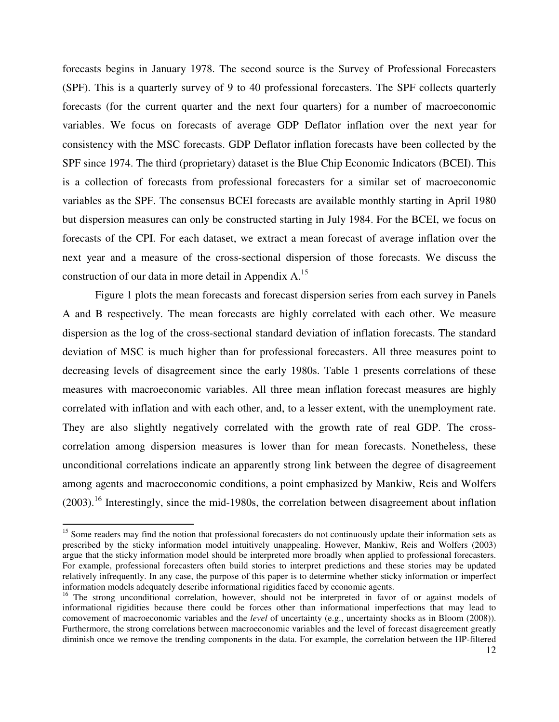forecasts begins in January 1978. The second source is the Survey of Professional Forecasters (SPF). This is a quarterly survey of 9 to 40 professional forecasters. The SPF collects quarterly forecasts (for the current quarter and the next four quarters) for a number of macroeconomic variables. We focus on forecasts of average GDP Deflator inflation over the next year for consistency with the MSC forecasts. GDP Deflator inflation forecasts have been collected by the SPF since 1974. The third (proprietary) dataset is the Blue Chip Economic Indicators (BCEI). This is a collection of forecasts from professional forecasters for a similar set of macroeconomic variables as the SPF. The consensus BCEI forecasts are available monthly starting in April 1980 but dispersion measures can only be constructed starting in July 1984. For the BCEI, we focus on forecasts of the CPI. For each dataset, we extract a mean forecast of average inflation over the next year and a measure of the cross-sectional dispersion of those forecasts. We discuss the construction of our data in more detail in Appendix  $A$ .<sup>15</sup>

 Figure 1 plots the mean forecasts and forecast dispersion series from each survey in Panels A and B respectively. The mean forecasts are highly correlated with each other. We measure dispersion as the log of the cross-sectional standard deviation of inflation forecasts. The standard deviation of MSC is much higher than for professional forecasters. All three measures point to decreasing levels of disagreement since the early 1980s. Table 1 presents correlations of these measures with macroeconomic variables. All three mean inflation forecast measures are highly correlated with inflation and with each other, and, to a lesser extent, with the unemployment rate. They are also slightly negatively correlated with the growth rate of real GDP. The crosscorrelation among dispersion measures is lower than for mean forecasts. Nonetheless, these unconditional correlations indicate an apparently strong link between the degree of disagreement among agents and macroeconomic conditions, a point emphasized by Mankiw, Reis and Wolfers  $(2003)$ <sup>16</sup> Interestingly, since the mid-1980s, the correlation between disagreement about inflation

<sup>&</sup>lt;sup>15</sup> Some readers may find the notion that professional forecasters do not continuously update their information sets as prescribed by the sticky information model intuitively unappealing. However, Mankiw, Reis and Wolfers (2003) argue that the sticky information model should be interpreted more broadly when applied to professional forecasters. For example, professional forecasters often build stories to interpret predictions and these stories may be updated relatively infrequently. In any case, the purpose of this paper is to determine whether sticky information or imperfect information models adequately describe informational rigidities faced by economic agents.

<sup>&</sup>lt;sup>16</sup> The strong unconditional correlation, however, should not be interpreted in favor of or against models of informational rigidities because there could be forces other than informational imperfections that may lead to comovement of macroeconomic variables and the *level* of uncertainty (e.g., uncertainty shocks as in Bloom (2008)). Furthermore, the strong correlations between macroeconomic variables and the level of forecast disagreement greatly diminish once we remove the trending components in the data. For example, the correlation between the HP-filtered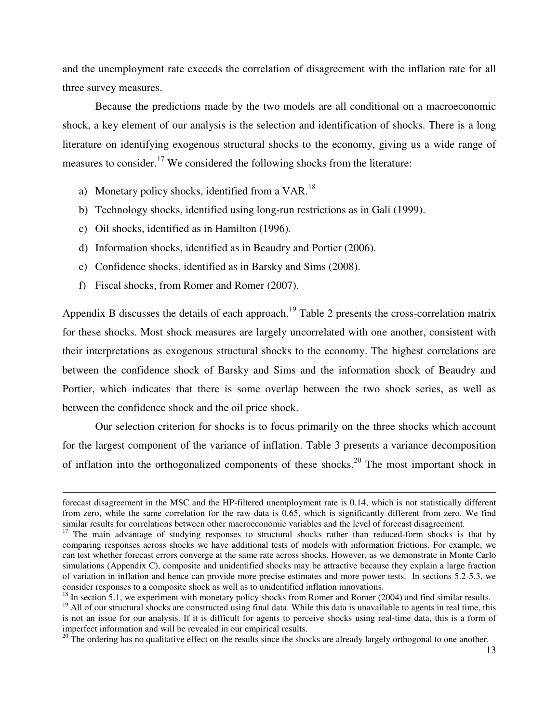and the unemployment rate exceeds the correlation of disagreement with the inflation rate for all three survey measures.

 Because the predictions made by the two models are all conditional on a macroeconomic shock, a key element of our analysis is the selection and identification of shocks. There is a long literature on identifying exogenous structural shocks to the economy, giving us a wide range of measures to consider.<sup>17</sup> We considered the following shocks from the literature:

- a) Monetary policy shocks, identified from a VAR.<sup>18</sup>
- b) Technology shocks, identified using long-run restrictions as in Gali (1999).
- c) Oil shocks, identified as in Hamilton (1996).
- d) Information shocks, identified as in Beaudry and Portier (2006).
- e) Confidence shocks, identified as in Barsky and Sims (2008).
- f) Fiscal shocks, from Romer and Romer (2007).

l

Appendix B discusses the details of each approach.<sup>19</sup> Table 2 presents the cross-correlation matrix for these shocks. Most shock measures are largely uncorrelated with one another, consistent with their interpretations as exogenous structural shocks to the economy. The highest correlations are between the confidence shock of Barsky and Sims and the information shock of Beaudry and Portier, which indicates that there is some overlap between the two shock series, as well as between the confidence shock and the oil price shock.

 Our selection criterion for shocks is to focus primarily on the three shocks which account for the largest component of the variance of inflation. Table 3 presents a variance decomposition of inflation into the orthogonalized components of these shocks.<sup>20</sup> The most important shock in

forecast disagreement in the MSC and the HP-filtered unemployment rate is 0.14, which is not statistically different from zero, while the same correlation for the raw data is 0.65, which is significantly different from zero. We find similar results for correlations between other macroeconomic variables and the level of forecast disagreement.

<sup>&</sup>lt;sup>17</sup> The main advantage of studying responses to structural shocks rather than reduced-form shocks is that by comparing responses across shocks we have additional tests of models with information frictions. For example, we can test whether forecast errors converge at the same rate across shocks. However, as we demonstrate in Monte Carlo simulations (Appendix C), composite and unidentified shocks may be attractive because they explain a large fraction of variation in inflation and hence can provide more precise estimates and more power tests. In sections 5.2-5.3, we consider responses to a composite shock as well as to unidentified inflation innovations.

<sup>&</sup>lt;sup>18</sup> In section 5.1, we experiment with monetary policy shocks from Romer and Romer (2004) and find similar results.

<sup>&</sup>lt;sup>19</sup> All of our structural shocks are constructed using final data. While this data is unavailable to agents in real time, this is not an issue for our analysis. If it is difficult for agents to perceive shocks using real-time data, this is a form of imperfect information and will be revealed in our empirical results.

 $20$  The ordering has no qualitative effect on the results since the shocks are already largely orthogonal to one another.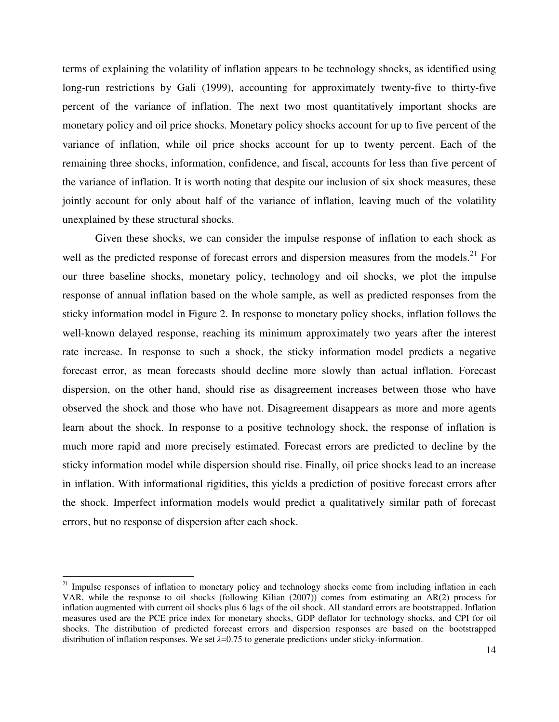terms of explaining the volatility of inflation appears to be technology shocks, as identified using long-run restrictions by Gali (1999), accounting for approximately twenty-five to thirty-five percent of the variance of inflation. The next two most quantitatively important shocks are monetary policy and oil price shocks. Monetary policy shocks account for up to five percent of the variance of inflation, while oil price shocks account for up to twenty percent. Each of the remaining three shocks, information, confidence, and fiscal, accounts for less than five percent of the variance of inflation. It is worth noting that despite our inclusion of six shock measures, these jointly account for only about half of the variance of inflation, leaving much of the volatility unexplained by these structural shocks.

 Given these shocks, we can consider the impulse response of inflation to each shock as well as the predicted response of forecast errors and dispersion measures from the models.<sup>21</sup> For our three baseline shocks, monetary policy, technology and oil shocks, we plot the impulse response of annual inflation based on the whole sample, as well as predicted responses from the sticky information model in Figure 2. In response to monetary policy shocks, inflation follows the well-known delayed response, reaching its minimum approximately two years after the interest rate increase. In response to such a shock, the sticky information model predicts a negative forecast error, as mean forecasts should decline more slowly than actual inflation. Forecast dispersion, on the other hand, should rise as disagreement increases between those who have observed the shock and those who have not. Disagreement disappears as more and more agents learn about the shock. In response to a positive technology shock, the response of inflation is much more rapid and more precisely estimated. Forecast errors are predicted to decline by the sticky information model while dispersion should rise. Finally, oil price shocks lead to an increase in inflation. With informational rigidities, this yields a prediction of positive forecast errors after the shock. Imperfect information models would predict a qualitatively similar path of forecast errors, but no response of dispersion after each shock.

<sup>&</sup>lt;sup>21</sup> Impulse responses of inflation to monetary policy and technology shocks come from including inflation in each VAR, while the response to oil shocks (following Kilian (2007)) comes from estimating an AR(2) process for inflation augmented with current oil shocks plus 6 lags of the oil shock. All standard errors are bootstrapped. Inflation measures used are the PCE price index for monetary shocks, GDP deflator for technology shocks, and CPI for oil shocks. The distribution of predicted forecast errors and dispersion responses are based on the bootstrapped distribution of inflation responses. We set  $\lambda$ =0.75 to generate predictions under sticky-information.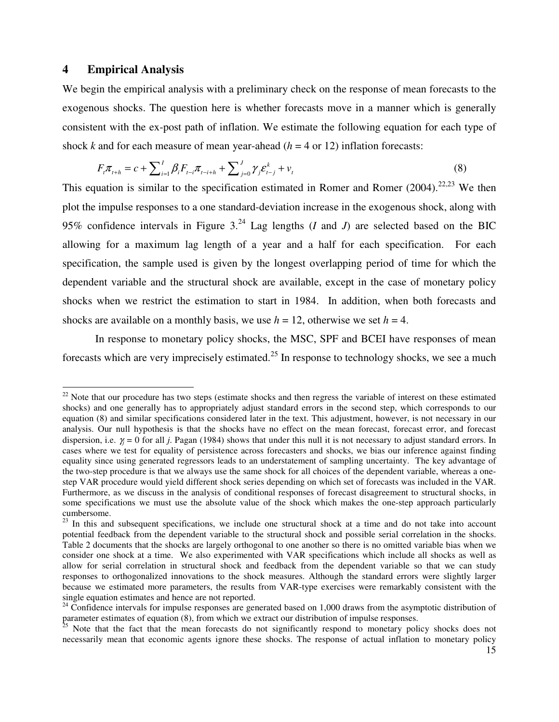## **4 Empirical Analysis**

l

We begin the empirical analysis with a preliminary check on the response of mean forecasts to the exogenous shocks. The question here is whether forecasts move in a manner which is generally consistent with the ex-post path of inflation. We estimate the following equation for each type of shock *k* and for each measure of mean year-ahead  $(h = 4 \text{ or } 12)$  inflation forecasts:

$$
F_{t}\pi_{t+h} = c + \sum_{i=1}^{I} \beta_{i} F_{t-i} \pi_{t-i+h} + \sum_{j=0}^{J} \gamma_{j} \varepsilon_{t-j}^{k} + v_{t}
$$
\n(8)

This equation is similar to the specification estimated in Romer and Romer  $(2004)$ <sup>2,23</sup> We then plot the impulse responses to a one standard-deviation increase in the exogenous shock, along with 95% confidence intervals in Figure  $3.^{24}$  Lag lengths (*I* and *J*) are selected based on the BIC allowing for a maximum lag length of a year and a half for each specification. For each specification, the sample used is given by the longest overlapping period of time for which the dependent variable and the structural shock are available, except in the case of monetary policy shocks when we restrict the estimation to start in 1984. In addition, when both forecasts and shocks are available on a monthly basis, we use  $h = 12$ , otherwise we set  $h = 4$ .

 In response to monetary policy shocks, the MSC, SPF and BCEI have responses of mean forecasts which are very imprecisely estimated.<sup>25</sup> In response to technology shocks, we see a much

 $22$  Note that our procedure has two steps (estimate shocks and then regress the variable of interest on these estimated shocks) and one generally has to appropriately adjust standard errors in the second step, which corresponds to our equation (8) and similar specifications considered later in the text. This adjustment, however, is not necessary in our analysis. Our null hypothesis is that the shocks have no effect on the mean forecast, forecast error, and forecast dispersion, i.e.  $\gamma = 0$  for all *j*. Pagan (1984) shows that under this null it is not necessary to adjust standard errors. In cases where we test for equality of persistence across forecasters and shocks, we bias our inference against finding equality since using generated regressors leads to an understatement of sampling uncertainty. The key advantage of the two-step procedure is that we always use the same shock for all choices of the dependent variable, whereas a onestep VAR procedure would yield different shock series depending on which set of forecasts was included in the VAR. Furthermore, as we discuss in the analysis of conditional responses of forecast disagreement to structural shocks, in some specifications we must use the absolute value of the shock which makes the one-step approach particularly cumbersome.

<sup>&</sup>lt;sup>23</sup> In this and subsequent specifications, we include one structural shock at a time and do not take into account potential feedback from the dependent variable to the structural shock and possible serial correlation in the shocks. Table 2 documents that the shocks are largely orthogonal to one another so there is no omitted variable bias when we consider one shock at a time. We also experimented with VAR specifications which include all shocks as well as allow for serial correlation in structural shock and feedback from the dependent variable so that we can study responses to orthogonalized innovations to the shock measures. Although the standard errors were slightly larger because we estimated more parameters, the results from VAR-type exercises were remarkably consistent with the single equation estimates and hence are not reported.

 $^{24}$  Confidence intervals for impulse responses are generated based on 1,000 draws from the asymptotic distribution of parameter estimates of equation (8), from which we extract our distribution of impulse responses.

 $25$  Note that the fact that the mean forecasts do not significantly respond to monetary policy shocks does not necessarily mean that economic agents ignore these shocks. The response of actual inflation to monetary policy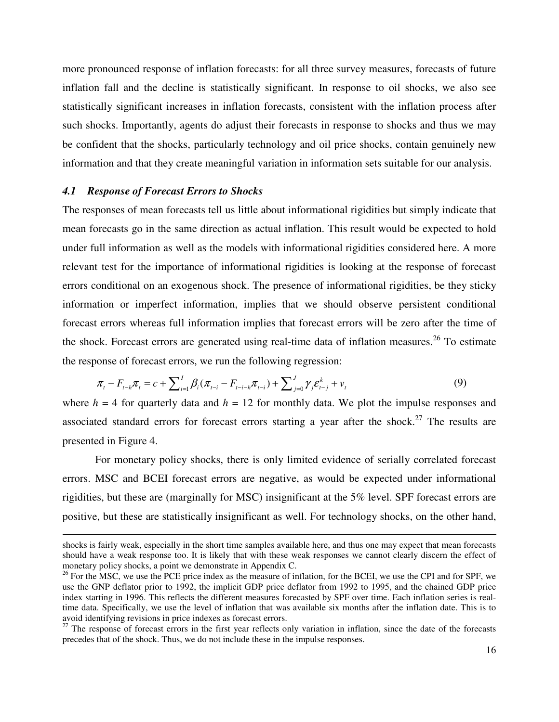more pronounced response of inflation forecasts: for all three survey measures, forecasts of future inflation fall and the decline is statistically significant. In response to oil shocks, we also see statistically significant increases in inflation forecasts, consistent with the inflation process after such shocks. Importantly, agents do adjust their forecasts in response to shocks and thus we may be confident that the shocks, particularly technology and oil price shocks, contain genuinely new information and that they create meaningful variation in information sets suitable for our analysis.

#### *4.1 Response of Forecast Errors to Shocks*

l

The responses of mean forecasts tell us little about informational rigidities but simply indicate that mean forecasts go in the same direction as actual inflation. This result would be expected to hold under full information as well as the models with informational rigidities considered here. A more relevant test for the importance of informational rigidities is looking at the response of forecast errors conditional on an exogenous shock. The presence of informational rigidities, be they sticky information or imperfect information, implies that we should observe persistent conditional forecast errors whereas full information implies that forecast errors will be zero after the time of the shock. Forecast errors are generated using real-time data of inflation measures.<sup>26</sup> To estimate the response of forecast errors, we run the following regression:

$$
\pi_t - F_{t-h}\pi_t = c + \sum_{i=1}^l \beta_i (\pi_{t-i} - F_{t-i-h}\pi_{t-i}) + \sum_{j=0}^l \gamma_j \varepsilon_{t-j}^k + v_t
$$
\n(9)

where  $h = 4$  for quarterly data and  $h = 12$  for monthly data. We plot the impulse responses and associated standard errors for forecast errors starting a year after the shock.<sup>27</sup> The results are presented in Figure 4.

 For monetary policy shocks, there is only limited evidence of serially correlated forecast errors. MSC and BCEI forecast errors are negative, as would be expected under informational rigidities, but these are (marginally for MSC) insignificant at the 5% level. SPF forecast errors are positive, but these are statistically insignificant as well. For technology shocks, on the other hand,

shocks is fairly weak, especially in the short time samples available here, and thus one may expect that mean forecasts should have a weak response too. It is likely that with these weak responses we cannot clearly discern the effect of monetary policy shocks, a point we demonstrate in Appendix C.

 $26$  For the MSC, we use the PCE price index as the measure of inflation, for the BCEI, we use the CPI and for SPF, we use the GNP deflator prior to 1992, the implicit GDP price deflator from 1992 to 1995, and the chained GDP price index starting in 1996. This reflects the different measures forecasted by SPF over time. Each inflation series is realtime data. Specifically, we use the level of inflation that was available six months after the inflation date. This is to avoid identifying revisions in price indexes as forecast errors.

 $27$  The response of forecast errors in the first year reflects only variation in inflation, since the date of the forecasts precedes that of the shock. Thus, we do not include these in the impulse responses.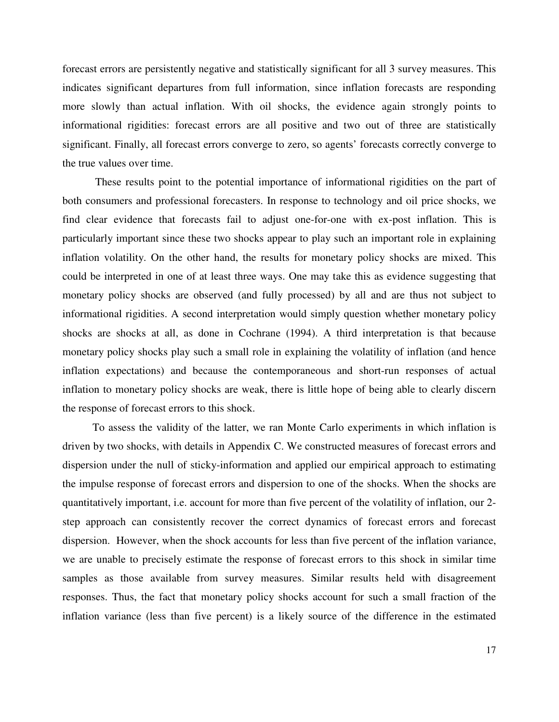forecast errors are persistently negative and statistically significant for all 3 survey measures. This indicates significant departures from full information, since inflation forecasts are responding more slowly than actual inflation. With oil shocks, the evidence again strongly points to informational rigidities: forecast errors are all positive and two out of three are statistically significant. Finally, all forecast errors converge to zero, so agents' forecasts correctly converge to the true values over time.

 These results point to the potential importance of informational rigidities on the part of both consumers and professional forecasters. In response to technology and oil price shocks, we find clear evidence that forecasts fail to adjust one-for-one with ex-post inflation. This is particularly important since these two shocks appear to play such an important role in explaining inflation volatility. On the other hand, the results for monetary policy shocks are mixed. This could be interpreted in one of at least three ways. One may take this as evidence suggesting that monetary policy shocks are observed (and fully processed) by all and are thus not subject to informational rigidities. A second interpretation would simply question whether monetary policy shocks are shocks at all, as done in Cochrane (1994). A third interpretation is that because monetary policy shocks play such a small role in explaining the volatility of inflation (and hence inflation expectations) and because the contemporaneous and short-run responses of actual inflation to monetary policy shocks are weak, there is little hope of being able to clearly discern the response of forecast errors to this shock.

To assess the validity of the latter, we ran Monte Carlo experiments in which inflation is driven by two shocks, with details in Appendix C. We constructed measures of forecast errors and dispersion under the null of sticky-information and applied our empirical approach to estimating the impulse response of forecast errors and dispersion to one of the shocks. When the shocks are quantitatively important, i.e. account for more than five percent of the volatility of inflation, our 2 step approach can consistently recover the correct dynamics of forecast errors and forecast dispersion. However, when the shock accounts for less than five percent of the inflation variance, we are unable to precisely estimate the response of forecast errors to this shock in similar time samples as those available from survey measures. Similar results held with disagreement responses. Thus, the fact that monetary policy shocks account for such a small fraction of the inflation variance (less than five percent) is a likely source of the difference in the estimated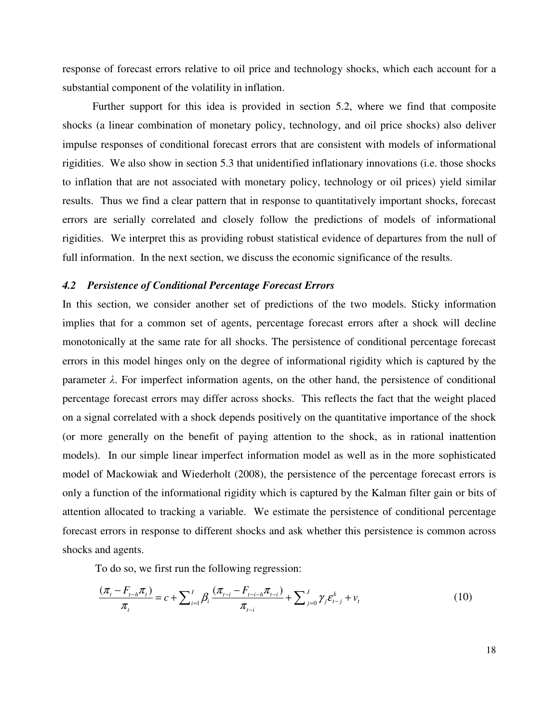response of forecast errors relative to oil price and technology shocks, which each account for a substantial component of the volatility in inflation.

Further support for this idea is provided in section 5.2, where we find that composite shocks (a linear combination of monetary policy, technology, and oil price shocks) also deliver impulse responses of conditional forecast errors that are consistent with models of informational rigidities. We also show in section 5.3 that unidentified inflationary innovations (i.e. those shocks to inflation that are not associated with monetary policy, technology or oil prices) yield similar results. Thus we find a clear pattern that in response to quantitatively important shocks, forecast errors are serially correlated and closely follow the predictions of models of informational rigidities. We interpret this as providing robust statistical evidence of departures from the null of full information. In the next section, we discuss the economic significance of the results.

## *4.2 Persistence of Conditional Percentage Forecast Errors*

In this section, we consider another set of predictions of the two models. Sticky information implies that for a common set of agents, percentage forecast errors after a shock will decline monotonically at the same rate for all shocks. The persistence of conditional percentage forecast errors in this model hinges only on the degree of informational rigidity which is captured by the parameter  $\lambda$ . For imperfect information agents, on the other hand, the persistence of conditional percentage forecast errors may differ across shocks. This reflects the fact that the weight placed on a signal correlated with a shock depends positively on the quantitative importance of the shock (or more generally on the benefit of paying attention to the shock, as in rational inattention models). In our simple linear imperfect information model as well as in the more sophisticated model of Mackowiak and Wiederholt (2008), the persistence of the percentage forecast errors is only a function of the informational rigidity which is captured by the Kalman filter gain or bits of attention allocated to tracking a variable. We estimate the persistence of conditional percentage forecast errors in response to different shocks and ask whether this persistence is common across shocks and agents.

To do so, we first run the following regression:

$$
\frac{(\pi_t - F_{t-h}\pi_t)}{\pi_t} = c + \sum_{i=1}^I \beta_i \frac{(\pi_{t-i} - F_{t-i-h}\pi_{t-i})}{\pi_{t-i}} + \sum_{j=0}^J \gamma_j \varepsilon_{t-j}^k + v_t
$$
(10)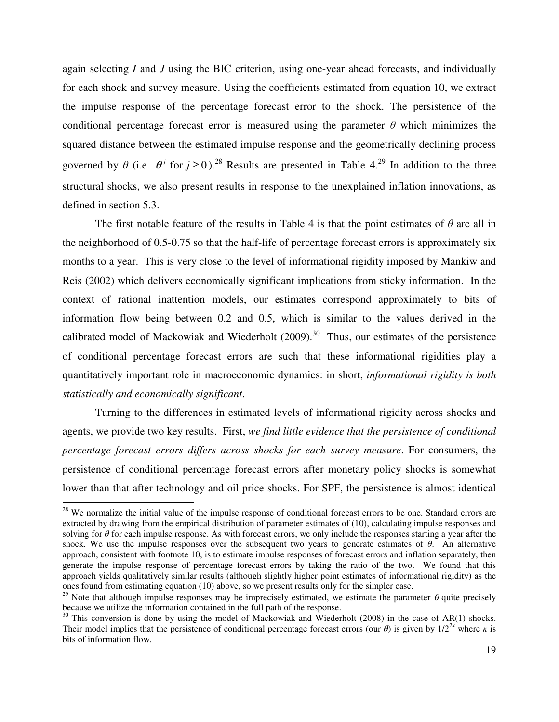again selecting *I* and *J* using the BIC criterion, using one-year ahead forecasts, and individually for each shock and survey measure. Using the coefficients estimated from equation 10, we extract the impulse response of the percentage forecast error to the shock. The persistence of the conditional percentage forecast error is measured using the parameter  $\theta$  which minimizes the squared distance between the estimated impulse response and the geometrically declining process governed by  $\theta$  (i.e.  $\theta^j$  for  $j \ge 0$ ).<sup>28</sup> Results are presented in Table 4.<sup>29</sup> In addition to the three structural shocks, we also present results in response to the unexplained inflation innovations, as defined in section 5.3.

The first notable feature of the results in Table 4 is that the point estimates of  $\theta$  are all in the neighborhood of 0.5-0.75 so that the half-life of percentage forecast errors is approximately six months to a year. This is very close to the level of informational rigidity imposed by Mankiw and Reis (2002) which delivers economically significant implications from sticky information. In the context of rational inattention models, our estimates correspond approximately to bits of information flow being between 0.2 and 0.5, which is similar to the values derived in the calibrated model of Mackowiak and Wiederholt  $(2009).^{30}$  Thus, our estimates of the persistence of conditional percentage forecast errors are such that these informational rigidities play a quantitatively important role in macroeconomic dynamics: in short, *informational rigidity is both statistically and economically significant*.

 Turning to the differences in estimated levels of informational rigidity across shocks and agents, we provide two key results. First, *we find little evidence that the persistence of conditional percentage forecast errors differs across shocks for each survey measure*. For consumers, the persistence of conditional percentage forecast errors after monetary policy shocks is somewhat lower than that after technology and oil price shocks. For SPF, the persistence is almost identical

 $28$  We normalize the initial value of the impulse response of conditional forecast errors to be one. Standard errors are extracted by drawing from the empirical distribution of parameter estimates of (10), calculating impulse responses and solving for  $\theta$  for each impulse response. As with forecast errors, we only include the responses starting a year after the shock. We use the impulse responses over the subsequent two years to generate estimates of  $\theta$ . An alternative approach, consistent with footnote 10, is to estimate impulse responses of forecast errors and inflation separately, then generate the impulse response of percentage forecast errors by taking the ratio of the two. We found that this approach yields qualitatively similar results (although slightly higher point estimates of informational rigidity) as the ones found from estimating equation (10) above, so we present results only for the simpler case.

<sup>&</sup>lt;sup>29</sup> Note that although impulse responses may be imprecisely estimated, we estimate the parameter  $\theta$  quite precisely because we utilize the information contained in the full path of the response.

 $30$  This conversion is done by using the model of Mackowiak and Wiederholt (2008) in the case of AR(1) shocks. Their model implies that the persistence of conditional percentage forecast errors (our  $\theta$ ) is given by  $1/2^{2\kappa}$  where  $\kappa$  is bits of information flow.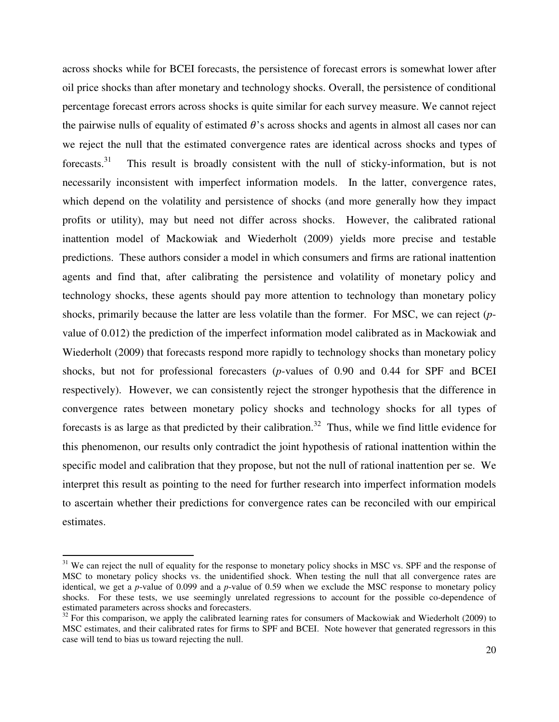across shocks while for BCEI forecasts, the persistence of forecast errors is somewhat lower after oil price shocks than after monetary and technology shocks. Overall, the persistence of conditional percentage forecast errors across shocks is quite similar for each survey measure. We cannot reject the pairwise nulls of equality of estimated  $\theta$ 's across shocks and agents in almost all cases nor can we reject the null that the estimated convergence rates are identical across shocks and types of forecasts.<sup>31</sup> This result is broadly consistent with the null of sticky-information, but is not necessarily inconsistent with imperfect information models. In the latter, convergence rates, which depend on the volatility and persistence of shocks (and more generally how they impact profits or utility), may but need not differ across shocks. However, the calibrated rational inattention model of Mackowiak and Wiederholt (2009) yields more precise and testable predictions. These authors consider a model in which consumers and firms are rational inattention agents and find that, after calibrating the persistence and volatility of monetary policy and technology shocks, these agents should pay more attention to technology than monetary policy shocks, primarily because the latter are less volatile than the former. For MSC, we can reject (*p*value of 0.012) the prediction of the imperfect information model calibrated as in Mackowiak and Wiederholt (2009) that forecasts respond more rapidly to technology shocks than monetary policy shocks, but not for professional forecasters (*p*-values of 0.90 and 0.44 for SPF and BCEI respectively). However, we can consistently reject the stronger hypothesis that the difference in convergence rates between monetary policy shocks and technology shocks for all types of forecasts is as large as that predicted by their calibration.<sup>32</sup> Thus, while we find little evidence for this phenomenon, our results only contradict the joint hypothesis of rational inattention within the specific model and calibration that they propose, but not the null of rational inattention per se. We interpret this result as pointing to the need for further research into imperfect information models to ascertain whether their predictions for convergence rates can be reconciled with our empirical estimates.

<sup>&</sup>lt;sup>31</sup> We can reject the null of equality for the response to monetary policy shocks in MSC vs. SPF and the response of MSC to monetary policy shocks vs. the unidentified shock. When testing the null that all convergence rates are identical, we get a *p*-value of 0.099 and a *p*-value of 0.59 when we exclude the MSC response to monetary policy shocks. For these tests, we use seemingly unrelated regressions to account for the possible co-dependence of estimated parameters across shocks and forecasters.

 $32$  For this comparison, we apply the calibrated learning rates for consumers of Mackowiak and Wiederholt (2009) to MSC estimates, and their calibrated rates for firms to SPF and BCEI. Note however that generated regressors in this case will tend to bias us toward rejecting the null.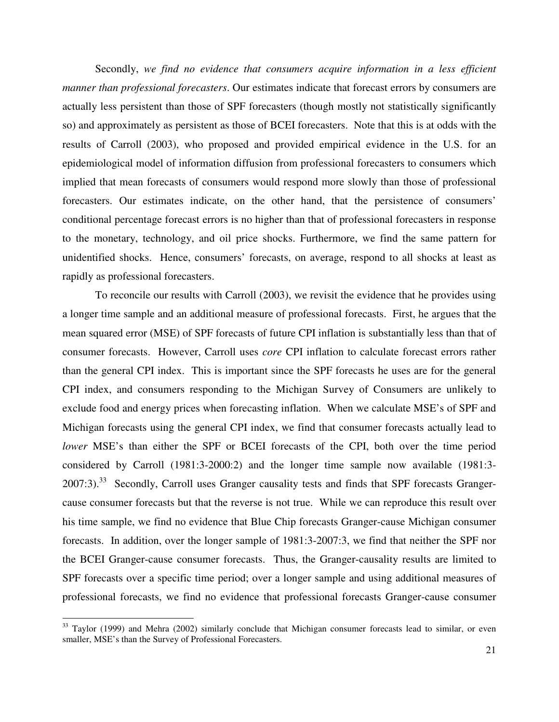Secondly, *we find no evidence that consumers acquire information in a less efficient manner than professional forecasters*. Our estimates indicate that forecast errors by consumers are actually less persistent than those of SPF forecasters (though mostly not statistically significantly so) and approximately as persistent as those of BCEI forecasters. Note that this is at odds with the results of Carroll (2003), who proposed and provided empirical evidence in the U.S. for an epidemiological model of information diffusion from professional forecasters to consumers which implied that mean forecasts of consumers would respond more slowly than those of professional forecasters. Our estimates indicate, on the other hand, that the persistence of consumers' conditional percentage forecast errors is no higher than that of professional forecasters in response to the monetary, technology, and oil price shocks. Furthermore, we find the same pattern for unidentified shocks. Hence, consumers' forecasts, on average, respond to all shocks at least as rapidly as professional forecasters.

To reconcile our results with Carroll (2003), we revisit the evidence that he provides using a longer time sample and an additional measure of professional forecasts. First, he argues that the mean squared error (MSE) of SPF forecasts of future CPI inflation is substantially less than that of consumer forecasts. However, Carroll uses *core* CPI inflation to calculate forecast errors rather than the general CPI index. This is important since the SPF forecasts he uses are for the general CPI index, and consumers responding to the Michigan Survey of Consumers are unlikely to exclude food and energy prices when forecasting inflation. When we calculate MSE's of SPF and Michigan forecasts using the general CPI index, we find that consumer forecasts actually lead to *lower* MSE's than either the SPF or BCEI forecasts of the CPI, both over the time period considered by Carroll (1981:3-2000:2) and the longer time sample now available (1981:3- 2007:3).<sup>33</sup> Secondly, Carroll uses Granger causality tests and finds that SPF forecasts Grangercause consumer forecasts but that the reverse is not true. While we can reproduce this result over his time sample, we find no evidence that Blue Chip forecasts Granger-cause Michigan consumer forecasts. In addition, over the longer sample of 1981:3-2007:3, we find that neither the SPF nor the BCEI Granger-cause consumer forecasts. Thus, the Granger-causality results are limited to SPF forecasts over a specific time period; over a longer sample and using additional measures of professional forecasts, we find no evidence that professional forecasts Granger-cause consumer

<sup>&</sup>lt;sup>33</sup> Taylor (1999) and Mehra (2002) similarly conclude that Michigan consumer forecasts lead to similar, or even smaller, MSE's than the Survey of Professional Forecasters.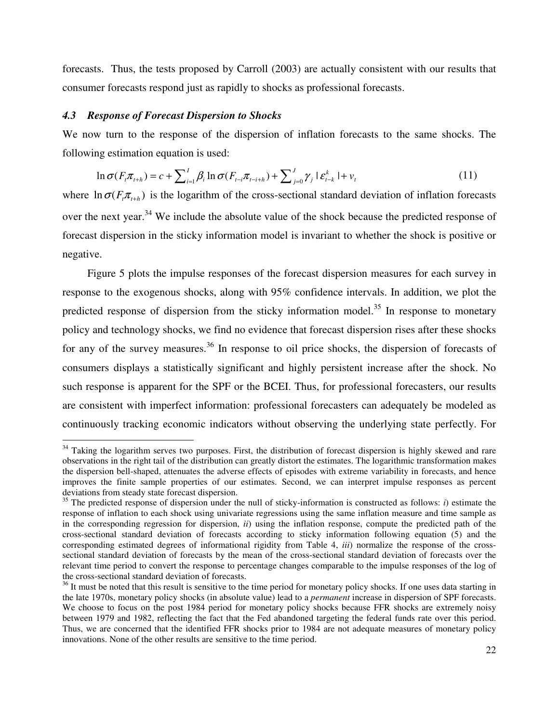forecasts. Thus, the tests proposed by Carroll (2003) are actually consistent with our results that consumer forecasts respond just as rapidly to shocks as professional forecasts.

#### *4.3 Response of Forecast Dispersion to Shocks*

l

We now turn to the response of the dispersion of inflation forecasts to the same shocks. The following estimation equation is used:

$$
\ln \sigma(F_{t}\pi_{t+h}) = c + \sum_{i=1}^{I} \beta_{i} \ln \sigma(F_{t-i}\pi_{t-i+h}) + \sum_{j=0}^{J} \gamma_{j} \ln \varepsilon_{t-k}^{k} + \nu_{t}
$$
\n(11)

where  $\ln \sigma(F_t \pi_{t+h})$  is the logarithm of the cross-sectional standard deviation of inflation forecasts over the next year.<sup>34</sup> We include the absolute value of the shock because the predicted response of forecast dispersion in the sticky information model is invariant to whether the shock is positive or negative.

Figure 5 plots the impulse responses of the forecast dispersion measures for each survey in response to the exogenous shocks, along with 95% confidence intervals. In addition, we plot the predicted response of dispersion from the sticky information model.<sup>35</sup> In response to monetary policy and technology shocks, we find no evidence that forecast dispersion rises after these shocks for any of the survey measures.<sup>36</sup> In response to oil price shocks, the dispersion of forecasts of consumers displays a statistically significant and highly persistent increase after the shock. No such response is apparent for the SPF or the BCEI. Thus, for professional forecasters, our results are consistent with imperfect information: professional forecasters can adequately be modeled as continuously tracking economic indicators without observing the underlying state perfectly. For

 $34$  Taking the logarithm serves two purposes. First, the distribution of forecast dispersion is highly skewed and rare observations in the right tail of the distribution can greatly distort the estimates. The logarithmic transformation makes the dispersion bell-shaped, attenuates the adverse effects of episodes with extreme variability in forecasts, and hence improves the finite sample properties of our estimates. Second, we can interpret impulse responses as percent deviations from steady state forecast dispersion.

<sup>35</sup> The predicted response of dispersion under the null of sticky-information is constructed as follows: *i*) estimate the response of inflation to each shock using univariate regressions using the same inflation measure and time sample as in the corresponding regression for dispersion, *ii*) using the inflation response, compute the predicted path of the cross-sectional standard deviation of forecasts according to sticky information following equation (5) and the corresponding estimated degrees of informational rigidity from Table 4, *iii*) normalize the response of the crosssectional standard deviation of forecasts by the mean of the cross-sectional standard deviation of forecasts over the relevant time period to convert the response to percentage changes comparable to the impulse responses of the log of the cross-sectional standard deviation of forecasts.

<sup>&</sup>lt;sup>36</sup> It must be noted that this result is sensitive to the time period for monetary policy shocks. If one uses data starting in the late 1970s, monetary policy shocks (in absolute value) lead to a *permanent* increase in dispersion of SPF forecasts. We choose to focus on the post 1984 period for monetary policy shocks because FFR shocks are extremely noisy between 1979 and 1982, reflecting the fact that the Fed abandoned targeting the federal funds rate over this period. Thus, we are concerned that the identified FFR shocks prior to 1984 are not adequate measures of monetary policy innovations. None of the other results are sensitive to the time period.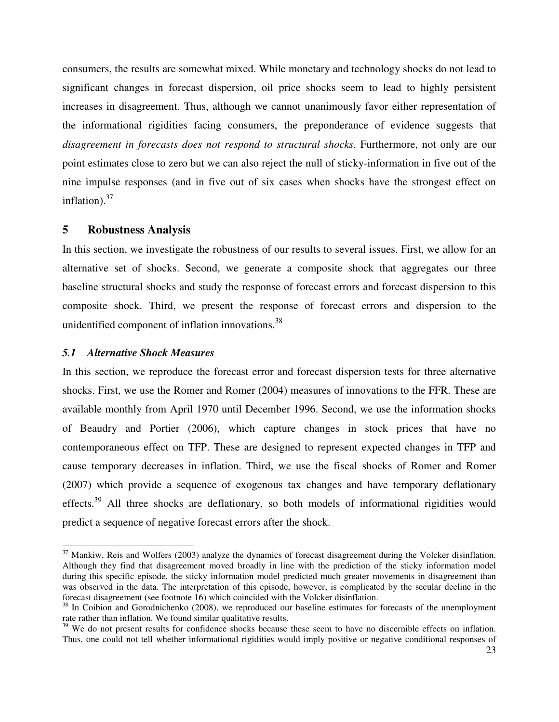consumers, the results are somewhat mixed. While monetary and technology shocks do not lead to significant changes in forecast dispersion, oil price shocks seem to lead to highly persistent increases in disagreement. Thus, although we cannot unanimously favor either representation of the informational rigidities facing consumers, the preponderance of evidence suggests that *disagreement in forecasts does not respond to structural shocks*. Furthermore, not only are our point estimates close to zero but we can also reject the null of sticky-information in five out of the nine impulse responses (and in five out of six cases when shocks have the strongest effect on inflation). $37$ 

## **5 Robustness Analysis**

In this section, we investigate the robustness of our results to several issues. First, we allow for an alternative set of shocks. Second, we generate a composite shock that aggregates our three baseline structural shocks and study the response of forecast errors and forecast dispersion to this composite shock. Third, we present the response of forecast errors and dispersion to the unidentified component of inflation innovations.<sup>38</sup>

## *5.1 Alternative Shock Measures*

l

In this section, we reproduce the forecast error and forecast dispersion tests for three alternative shocks. First, we use the Romer and Romer (2004) measures of innovations to the FFR. These are available monthly from April 1970 until December 1996. Second, we use the information shocks of Beaudry and Portier (2006), which capture changes in stock prices that have no contemporaneous effect on TFP. These are designed to represent expected changes in TFP and cause temporary decreases in inflation. Third, we use the fiscal shocks of Romer and Romer (2007) which provide a sequence of exogenous tax changes and have temporary deflationary effects.<sup>39</sup> All three shocks are deflationary, so both models of informational rigidities would predict a sequence of negative forecast errors after the shock.

 $37$  Mankiw, Reis and Wolfers (2003) analyze the dynamics of forecast disagreement during the Volcker disinflation. Although they find that disagreement moved broadly in line with the prediction of the sticky information model during this specific episode, the sticky information model predicted much greater movements in disagreement than was observed in the data. The interpretation of this episode, however, is complicated by the secular decline in the forecast disagreement (see footnote 16) which coincided with the Volcker disinflation.

<sup>&</sup>lt;sup>38</sup> In Coibion and Gorodnichenko (2008), we reproduced our baseline estimates for forecasts of the unemployment rate rather than inflation. We found similar qualitative results.

<sup>&</sup>lt;sup>39</sup> We do not present results for confidence shocks because these seem to have no discernible effects on inflation. Thus, one could not tell whether informational rigidities would imply positive or negative conditional responses of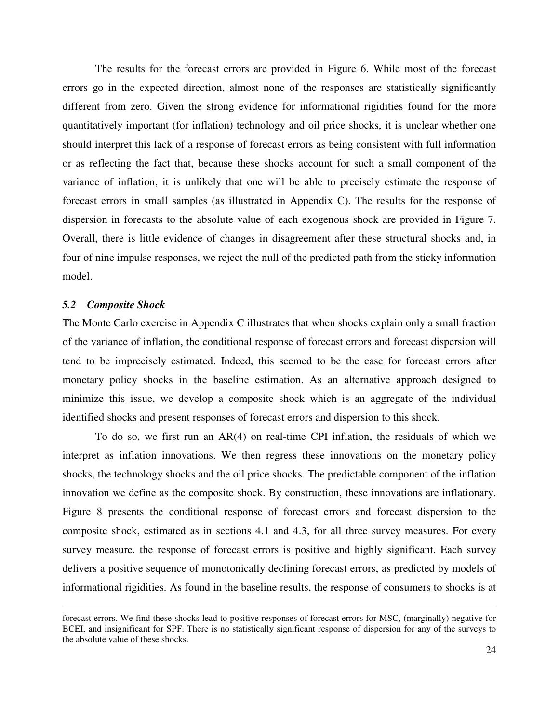The results for the forecast errors are provided in Figure 6. While most of the forecast errors go in the expected direction, almost none of the responses are statistically significantly different from zero. Given the strong evidence for informational rigidities found for the more quantitatively important (for inflation) technology and oil price shocks, it is unclear whether one should interpret this lack of a response of forecast errors as being consistent with full information or as reflecting the fact that, because these shocks account for such a small component of the variance of inflation, it is unlikely that one will be able to precisely estimate the response of forecast errors in small samples (as illustrated in Appendix C). The results for the response of dispersion in forecasts to the absolute value of each exogenous shock are provided in Figure 7. Overall, there is little evidence of changes in disagreement after these structural shocks and, in four of nine impulse responses, we reject the null of the predicted path from the sticky information model.

#### *5.2 Composite Shock*

l

The Monte Carlo exercise in Appendix C illustrates that when shocks explain only a small fraction of the variance of inflation, the conditional response of forecast errors and forecast dispersion will tend to be imprecisely estimated. Indeed, this seemed to be the case for forecast errors after monetary policy shocks in the baseline estimation. As an alternative approach designed to minimize this issue, we develop a composite shock which is an aggregate of the individual identified shocks and present responses of forecast errors and dispersion to this shock.

 To do so, we first run an AR(4) on real-time CPI inflation, the residuals of which we interpret as inflation innovations. We then regress these innovations on the monetary policy shocks, the technology shocks and the oil price shocks. The predictable component of the inflation innovation we define as the composite shock. By construction, these innovations are inflationary. Figure 8 presents the conditional response of forecast errors and forecast dispersion to the composite shock, estimated as in sections 4.1 and 4.3, for all three survey measures. For every survey measure, the response of forecast errors is positive and highly significant. Each survey delivers a positive sequence of monotonically declining forecast errors, as predicted by models of informational rigidities. As found in the baseline results, the response of consumers to shocks is at

forecast errors. We find these shocks lead to positive responses of forecast errors for MSC, (marginally) negative for BCEI, and insignificant for SPF. There is no statistically significant response of dispersion for any of the surveys to the absolute value of these shocks.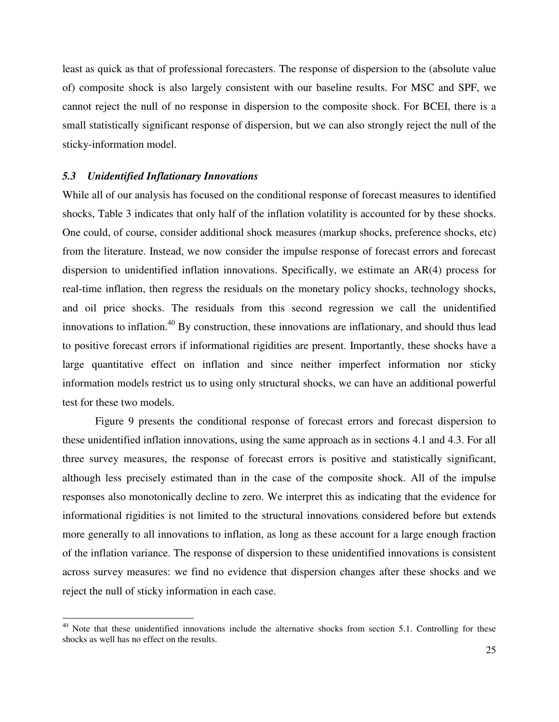least as quick as that of professional forecasters. The response of dispersion to the (absolute value of) composite shock is also largely consistent with our baseline results. For MSC and SPF, we cannot reject the null of no response in dispersion to the composite shock. For BCEI, there is a small statistically significant response of dispersion, but we can also strongly reject the null of the sticky-information model.

#### *5.3 Unidentified Inflationary Innovations*

l

While all of our analysis has focused on the conditional response of forecast measures to identified shocks, Table 3 indicates that only half of the inflation volatility is accounted for by these shocks. One could, of course, consider additional shock measures (markup shocks, preference shocks, etc) from the literature. Instead, we now consider the impulse response of forecast errors and forecast dispersion to unidentified inflation innovations. Specifically, we estimate an AR(4) process for real-time inflation, then regress the residuals on the monetary policy shocks, technology shocks, and oil price shocks. The residuals from this second regression we call the unidentified innovations to inflation.<sup>40</sup> By construction, these innovations are inflationary, and should thus lead to positive forecast errors if informational rigidities are present. Importantly, these shocks have a large quantitative effect on inflation and since neither imperfect information nor sticky information models restrict us to using only structural shocks, we can have an additional powerful test for these two models.

 Figure 9 presents the conditional response of forecast errors and forecast dispersion to these unidentified inflation innovations, using the same approach as in sections 4.1 and 4.3. For all three survey measures, the response of forecast errors is positive and statistically significant, although less precisely estimated than in the case of the composite shock. All of the impulse responses also monotonically decline to zero. We interpret this as indicating that the evidence for informational rigidities is not limited to the structural innovations considered before but extends more generally to all innovations to inflation, as long as these account for a large enough fraction of the inflation variance. The response of dispersion to these unidentified innovations is consistent across survey measures: we find no evidence that dispersion changes after these shocks and we reject the null of sticky information in each case.

 $40$  Note that these unidentified innovations include the alternative shocks from section 5.1. Controlling for these shocks as well has no effect on the results.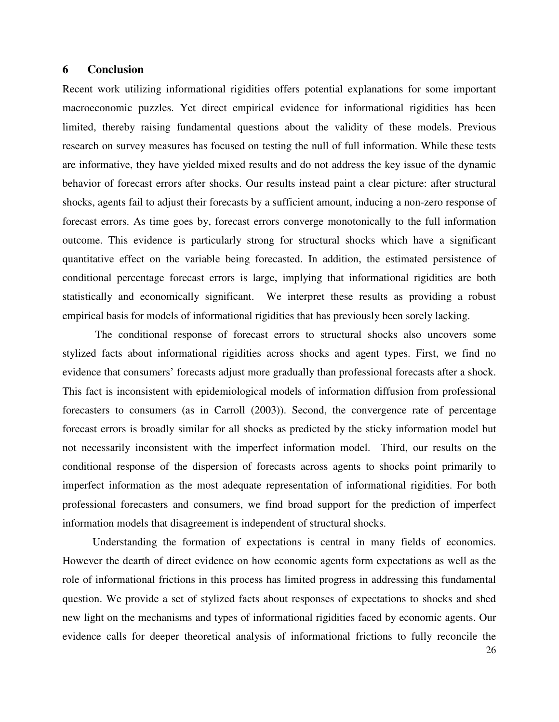## **6 Conclusion**

Recent work utilizing informational rigidities offers potential explanations for some important macroeconomic puzzles. Yet direct empirical evidence for informational rigidities has been limited, thereby raising fundamental questions about the validity of these models. Previous research on survey measures has focused on testing the null of full information. While these tests are informative, they have yielded mixed results and do not address the key issue of the dynamic behavior of forecast errors after shocks. Our results instead paint a clear picture: after structural shocks, agents fail to adjust their forecasts by a sufficient amount, inducing a non-zero response of forecast errors. As time goes by, forecast errors converge monotonically to the full information outcome. This evidence is particularly strong for structural shocks which have a significant quantitative effect on the variable being forecasted. In addition, the estimated persistence of conditional percentage forecast errors is large, implying that informational rigidities are both statistically and economically significant. We interpret these results as providing a robust empirical basis for models of informational rigidities that has previously been sorely lacking.

The conditional response of forecast errors to structural shocks also uncovers some stylized facts about informational rigidities across shocks and agent types. First, we find no evidence that consumers' forecasts adjust more gradually than professional forecasts after a shock. This fact is inconsistent with epidemiological models of information diffusion from professional forecasters to consumers (as in Carroll (2003)). Second, the convergence rate of percentage forecast errors is broadly similar for all shocks as predicted by the sticky information model but not necessarily inconsistent with the imperfect information model. Third, our results on the conditional response of the dispersion of forecasts across agents to shocks point primarily to imperfect information as the most adequate representation of informational rigidities. For both professional forecasters and consumers, we find broad support for the prediction of imperfect information models that disagreement is independent of structural shocks.

Understanding the formation of expectations is central in many fields of economics. However the dearth of direct evidence on how economic agents form expectations as well as the role of informational frictions in this process has limited progress in addressing this fundamental question. We provide a set of stylized facts about responses of expectations to shocks and shed new light on the mechanisms and types of informational rigidities faced by economic agents. Our evidence calls for deeper theoretical analysis of informational frictions to fully reconcile the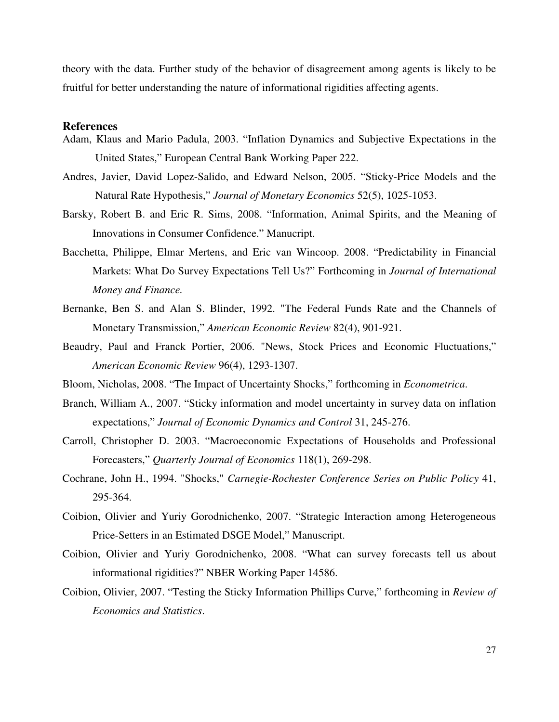theory with the data. Further study of the behavior of disagreement among agents is likely to be fruitful for better understanding the nature of informational rigidities affecting agents.

## **References**

- Adam, Klaus and Mario Padula, 2003. "Inflation Dynamics and Subjective Expectations in the United States," European Central Bank Working Paper 222.
- Andres, Javier, David Lopez-Salido, and Edward Nelson, 2005. "Sticky-Price Models and the Natural Rate Hypothesis," *Journal of Monetary Economics* 52(5), 1025-1053.
- Barsky, Robert B. and Eric R. Sims, 2008. "Information, Animal Spirits, and the Meaning of Innovations in Consumer Confidence." Manucript.
- Bacchetta, Philippe, Elmar Mertens, and Eric van Wincoop. 2008. "Predictability in Financial Markets: What Do Survey Expectations Tell Us?" Forthcoming in *Journal of International Money and Finance.*
- Bernanke, Ben S. and Alan S. Blinder, 1992. "The Federal Funds Rate and the Channels of Monetary Transmission," *American Economic Review* 82(4), 901-921.
- Beaudry, Paul and Franck Portier, 2006. "News, Stock Prices and Economic Fluctuations," *American Economic Review* 96(4), 1293-1307.
- Bloom, Nicholas, 2008. "The Impact of Uncertainty Shocks," forthcoming in *Econometrica*.
- Branch, William A., 2007. "Sticky information and model uncertainty in survey data on inflation expectations," *Journal of Economic Dynamics and Control* 31, 245-276.
- Carroll, Christopher D. 2003. "Macroeconomic Expectations of Households and Professional Forecasters," *Quarterly Journal of Economics* 118(1), 269-298.
- Cochrane, John H., 1994. "Shocks," *Carnegie-Rochester Conference Series on Public Policy* 41, 295-364.
- Coibion, Olivier and Yuriy Gorodnichenko, 2007. "Strategic Interaction among Heterogeneous Price-Setters in an Estimated DSGE Model," Manuscript.
- Coibion, Olivier and Yuriy Gorodnichenko, 2008. "What can survey forecasts tell us about informational rigidities?" NBER Working Paper 14586.
- Coibion, Olivier, 2007. "Testing the Sticky Information Phillips Curve," forthcoming in *Review of Economics and Statistics*.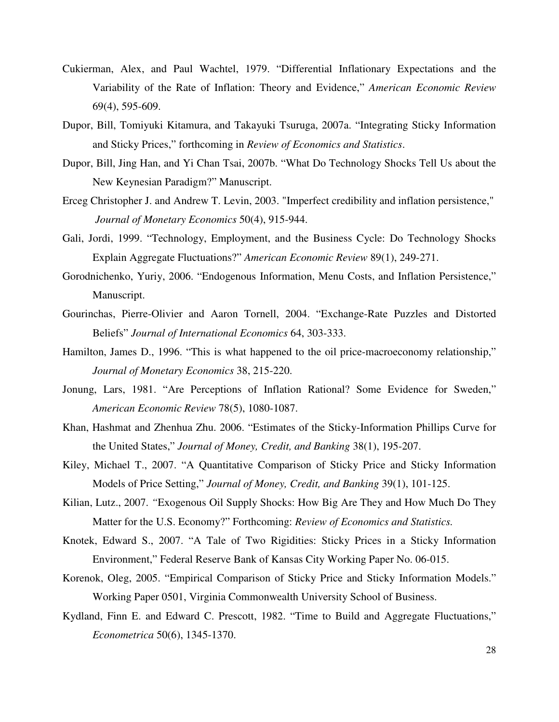- Cukierman, Alex, and Paul Wachtel, 1979. "Differential Inflationary Expectations and the Variability of the Rate of Inflation: Theory and Evidence," *American Economic Review* 69(4), 595-609.
- Dupor, Bill, Tomiyuki Kitamura, and Takayuki Tsuruga, 2007a. "Integrating Sticky Information and Sticky Prices," forthcoming in *Review of Economics and Statistics*.
- Dupor, Bill, Jing Han, and Yi Chan Tsai, 2007b. "What Do Technology Shocks Tell Us about the New Keynesian Paradigm?" Manuscript.
- Erceg Christopher J. and Andrew T. Levin, 2003. "Imperfect credibility and inflation persistence," *Journal of Monetary Economics* 50(4), 915-944.
- Gali, Jordi, 1999. "Technology, Employment, and the Business Cycle: Do Technology Shocks Explain Aggregate Fluctuations?" *American Economic Review* 89(1), 249-271.
- Gorodnichenko, Yuriy, 2006. "Endogenous Information, Menu Costs, and Inflation Persistence," Manuscript.
- Gourinchas, Pierre-Olivier and Aaron Tornell, 2004. "Exchange-Rate Puzzles and Distorted Beliefs" *Journal of International Economics* 64, 303-333.
- Hamilton, James D., 1996. "This is what happened to the oil price-macroeconomy relationship," *Journal of Monetary Economics* 38, 215-220.
- Jonung, Lars, 1981. "Are Perceptions of Inflation Rational? Some Evidence for Sweden," *American Economic Review* 78(5), 1080-1087.
- Khan, Hashmat and Zhenhua Zhu. 2006. "Estimates of the Sticky-Information Phillips Curve for the United States," *Journal of Money, Credit, and Banking* 38(1), 195-207.
- Kiley, Michael T., 2007. "A Quantitative Comparison of Sticky Price and Sticky Information Models of Price Setting," *Journal of Money, Credit, and Banking* 39(1), 101-125.
- Kilian, Lutz., 2007. *"*Exogenous Oil Supply Shocks: How Big Are They and How Much Do They Matter for the U.S. Economy?" Forthcoming: *Review of Economics and Statistics.*
- Knotek, Edward S., 2007. "A Tale of Two Rigidities: Sticky Prices in a Sticky Information Environment," Federal Reserve Bank of Kansas City Working Paper No. 06-015.
- Korenok, Oleg, 2005. "Empirical Comparison of Sticky Price and Sticky Information Models." Working Paper 0501, Virginia Commonwealth University School of Business.
- Kydland, Finn E. and Edward C. Prescott, 1982. "Time to Build and Aggregate Fluctuations," *Econometrica* 50(6), 1345-1370.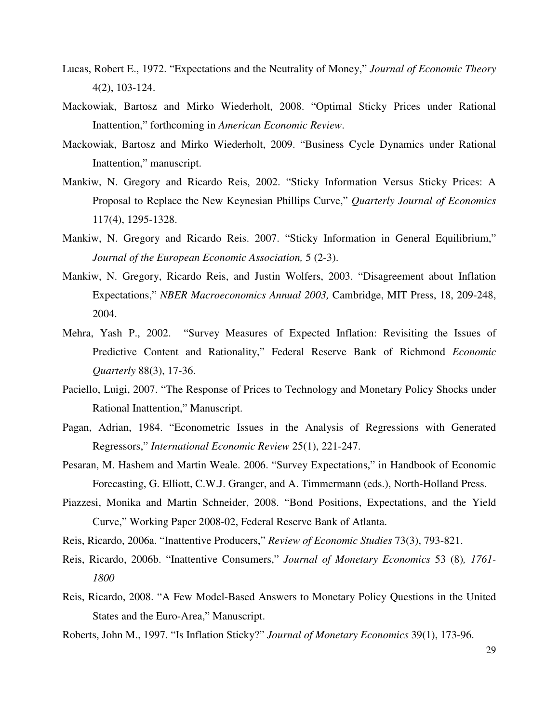- Lucas, Robert E., 1972. "Expectations and the Neutrality of Money," *Journal of Economic Theory* 4(2), 103-124.
- Mackowiak, Bartosz and Mirko Wiederholt, 2008. "Optimal Sticky Prices under Rational Inattention," forthcoming in *American Economic Review*.
- Mackowiak, Bartosz and Mirko Wiederholt, 2009. "Business Cycle Dynamics under Rational Inattention," manuscript.
- Mankiw, N. Gregory and Ricardo Reis, 2002. "Sticky Information Versus Sticky Prices: A Proposal to Replace the New Keynesian Phillips Curve," *Quarterly Journal of Economics* 117(4), 1295-1328.
- Mankiw, N. Gregory and Ricardo Reis. 2007. "Sticky Information in General Equilibrium," *Journal of the European Economic Association,* 5 (2-3).
- Mankiw, N. Gregory, Ricardo Reis, and Justin Wolfers, 2003. "Disagreement about Inflation Expectations," *NBER Macroeconomics Annual 2003,* Cambridge, MIT Press, 18, 209-248, 2004.
- Mehra, Yash P., 2002. "Survey Measures of Expected Inflation: Revisiting the Issues of Predictive Content and Rationality," Federal Reserve Bank of Richmond *Economic Quarterly* 88(3), 17-36.
- Paciello, Luigi, 2007. "The Response of Prices to Technology and Monetary Policy Shocks under Rational Inattention," Manuscript.
- Pagan, Adrian, 1984. "Econometric Issues in the Analysis of Regressions with Generated Regressors," *International Economic Review* 25(1), 221-247.
- Pesaran, M. Hashem and Martin Weale. 2006. "Survey Expectations," in Handbook of Economic Forecasting, G. Elliott, C.W.J. Granger, and A. Timmermann (eds.), North-Holland Press.
- Piazzesi, Monika and Martin Schneider, 2008. "Bond Positions, Expectations, and the Yield Curve," Working Paper 2008-02, Federal Reserve Bank of Atlanta.
- Reis, Ricardo, 2006a. "Inattentive Producers," *Review of Economic Studies* 73(3), 793-821.
- Reis, Ricardo, 2006b. "Inattentive Consumers," *Journal of Monetary Economics* 53 (8)*, 1761- 1800*
- Reis, Ricardo, 2008. "A Few Model-Based Answers to Monetary Policy Questions in the United States and the Euro-Area," Manuscript.
- Roberts, John M., 1997. "Is Inflation Sticky?" *Journal of Monetary Economics* 39(1), 173-96.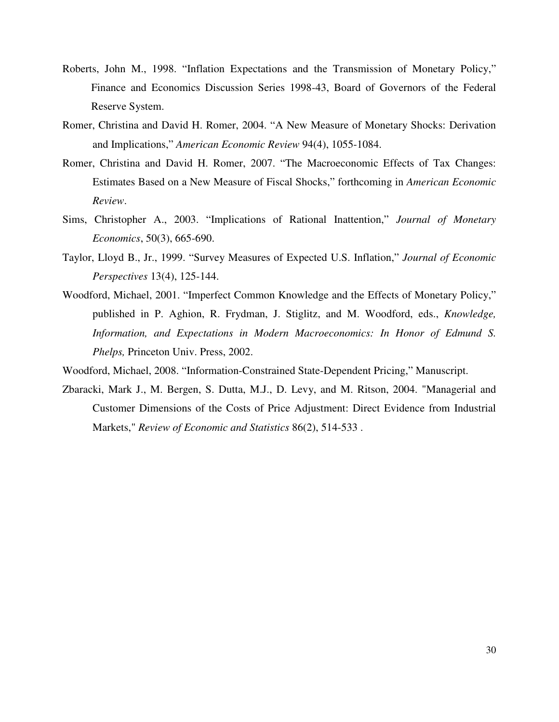- Roberts, John M., 1998. "Inflation Expectations and the Transmission of Monetary Policy," Finance and Economics Discussion Series 1998-43, Board of Governors of the Federal Reserve System.
- Romer, Christina and David H. Romer, 2004. "A New Measure of Monetary Shocks: Derivation and Implications," *American Economic Review* 94(4), 1055-1084.
- Romer, Christina and David H. Romer, 2007. "The Macroeconomic Effects of Tax Changes: Estimates Based on a New Measure of Fiscal Shocks," forthcoming in *American Economic Review*.
- Sims, Christopher A., 2003. "Implications of Rational Inattention," *Journal of Monetary Economics*, 50(3), 665-690.
- Taylor, Lloyd B., Jr., 1999. "Survey Measures of Expected U.S. Inflation," *Journal of Economic Perspectives* 13(4), 125-144.
- Woodford, Michael, 2001. "Imperfect Common Knowledge and the Effects of Monetary Policy," published in P. Aghion, R. Frydman, J. Stiglitz, and M. Woodford, eds., *Knowledge, Information, and Expectations in Modern Macroeconomics: In Honor of Edmund S. Phelps,* Princeton Univ. Press, 2002.
- Woodford, Michael, 2008. "Information-Constrained State-Dependent Pricing," Manuscript.
- Zbaracki, Mark J., M. Bergen, S. Dutta, M.J., D. Levy, and M. Ritson, 2004. "Managerial and Customer Dimensions of the Costs of Price Adjustment: Direct Evidence from Industrial Markets," *Review of Economic and Statistics* 86(2), 514-533 .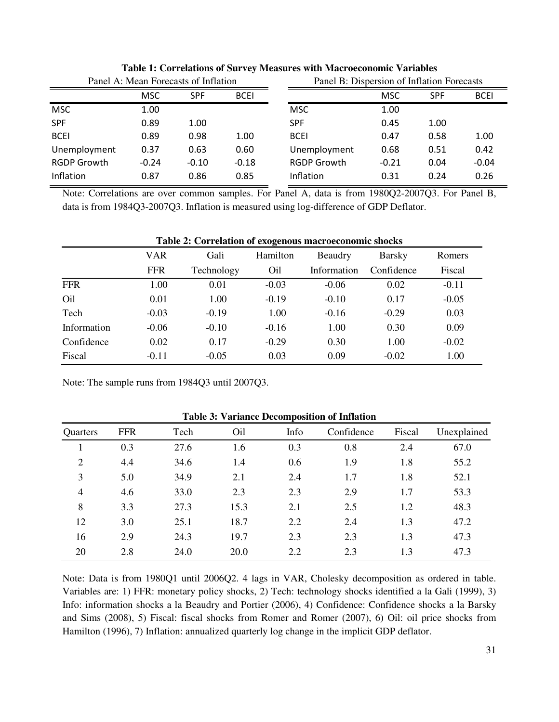| Panel A: Mean Forecasts of Inflation |            |            |             | Panel B: Dispersion of Inflation Forecasts |            |            |             |
|--------------------------------------|------------|------------|-------------|--------------------------------------------|------------|------------|-------------|
|                                      | <b>MSC</b> | <b>SPF</b> | <b>BCEI</b> |                                            | <b>MSC</b> | <b>SPF</b> | <b>BCEI</b> |
| <b>MSC</b>                           | 1.00       |            |             | <b>MSC</b>                                 | 1.00       |            |             |
| <b>SPF</b>                           | 0.89       | 1.00       |             | <b>SPF</b>                                 | 0.45       | 1.00       |             |
| <b>BCEI</b>                          | 0.89       | 0.98       | 1.00        | <b>BCEI</b>                                | 0.47       | 0.58       | 1.00        |
| Unemployment                         | 0.37       | 0.63       | 0.60        | Unemployment                               | 0.68       | 0.51       | 0.42        |
| <b>RGDP Growth</b>                   | $-0.24$    | $-0.10$    | $-0.18$     | <b>RGDP Growth</b>                         | $-0.21$    | 0.04       | $-0.04$     |
| Inflation                            | 0.87       | 0.86       | 0.85        | Inflation                                  | 0.31       | 0.24       | 0.26        |

**Table 1: Correlations of Survey Measures with Macroeconomic Variables** 

Note: Correlations are over common samples. For Panel A, data is from 1980Q2-2007Q3. For Panel B, data is from 1984Q3-2007Q3. Inflation is measured using log-difference of GDP Deflator.

|                 | Table 2: Correlation of exogenous macroeconomic shocks |            |                 |             |               |         |
|-----------------|--------------------------------------------------------|------------|-----------------|-------------|---------------|---------|
|                 | VAR                                                    | Gali       | Hamilton        | Beaudry     | <b>Barsky</b> | Romers  |
|                 | <b>FFR</b>                                             | Technology | O <sub>il</sub> | Information | Confidence    | Fiscal  |
| <b>FFR</b>      | 1.00                                                   | 0.01       | $-0.03$         | $-0.06$     | 0.02          | $-0.11$ |
| O <sub>il</sub> | 0.01                                                   | 1.00       | $-0.19$         | $-0.10$     | 0.17          | $-0.05$ |
| Tech            | $-0.03$                                                | $-0.19$    | 1.00            | $-0.16$     | $-0.29$       | 0.03    |
| Information     | $-0.06$                                                | $-0.10$    | $-0.16$         | 1.00        | 0.30          | 0.09    |
| Confidence      | 0.02                                                   | 0.17       | $-0.29$         | 0.30        | 1.00          | $-0.02$ |
| Fiscal          | $-0.11$                                                | $-0.05$    | 0.03            | 0.09        | $-0.02$       | 1.00    |

Note: The sample runs from 1984Q3 until 2007Q3.

| Table 5. Variance Decomposition of Inflation |            |      |                 |      |            |        |             |
|----------------------------------------------|------------|------|-----------------|------|------------|--------|-------------|
| Quarters                                     | <b>FFR</b> | Tech | O <sub>il</sub> | Info | Confidence | Fiscal | Unexplained |
|                                              | 0.3        | 27.6 | 1.6             | 0.3  | 0.8        | 2.4    | 67.0        |
| 2                                            | 4.4        | 34.6 | 1.4             | 0.6  | 1.9        | 1.8    | 55.2        |
| 3                                            | 5.0        | 34.9 | 2.1             | 2.4  | 1.7        | 1.8    | 52.1        |
| $\overline{4}$                               | 4.6        | 33.0 | 2.3             | 2.3  | 2.9        | 1.7    | 53.3        |
| 8                                            | 3.3        | 27.3 | 15.3            | 2.1  | 2.5        | 1.2    | 48.3        |
| 12                                           | 3.0        | 25.1 | 18.7            | 2.2  | 2.4        | 1.3    | 47.2        |
| 16                                           | 2.9        | 24.3 | 19.7            | 2.3  | 2.3        | 1.3    | 47.3        |
| 20                                           | 2.8        | 24.0 | 20.0            | 2.2  | 2.3        | 1.3    | 47.3        |

**Table 3: Variance Decomposition of Inflation** 

Note: Data is from 1980Q1 until 2006Q2. 4 lags in VAR, Cholesky decomposition as ordered in table. Variables are: 1) FFR: monetary policy shocks, 2) Tech: technology shocks identified a la Gali (1999), 3) Info: information shocks a la Beaudry and Portier (2006), 4) Confidence: Confidence shocks a la Barsky and Sims (2008), 5) Fiscal: fiscal shocks from Romer and Romer (2007), 6) Oil: oil price shocks from Hamilton (1996), 7) Inflation: annualized quarterly log change in the implicit GDP deflator.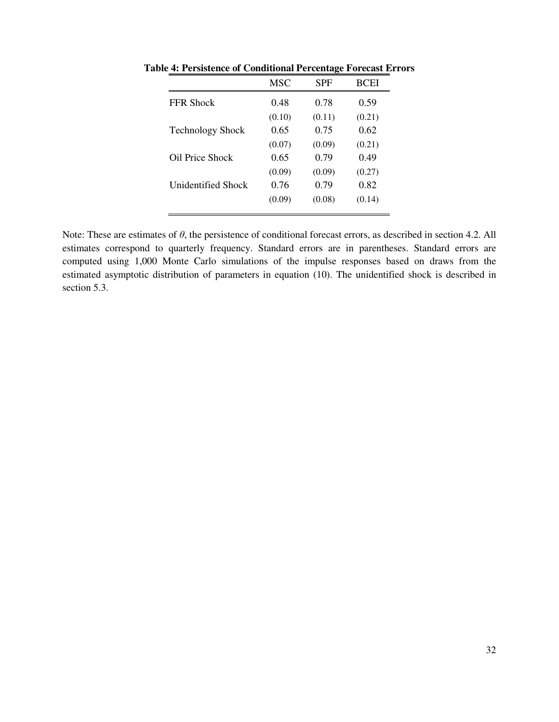|                         | MSC    | SPF    | <b>BCEI</b> |
|-------------------------|--------|--------|-------------|
| <b>FFR Shock</b>        | 0.48   | 0.78   | 0.59        |
|                         | (0.10) | (0.11) | (0.21)      |
| <b>Technology Shock</b> | 0.65   | 0.75   | 0.62        |
|                         | (0.07) | (0.09) | (0.21)      |
| Oil Price Shock         | 0.65   | 0.79   | 0.49        |
|                         | (0.09) | (0.09) | (0.27)      |
| Unidentified Shock      | 0.76   | 0.79   | 0.82        |
|                         | (0.09) | (0.08) | (0.14)      |

**Table 4: Persistence of Conditional Percentage Forecast Errors** 

Note: These are estimates of  $\theta$ , the persistence of conditional forecast errors, as described in section 4.2. All estimates correspond to quarterly frequency. Standard errors are in parentheses. Standard errors are computed using 1,000 Monte Carlo simulations of the impulse responses based on draws from the estimated asymptotic distribution of parameters in equation (10). The unidentified shock is described in section 5.3.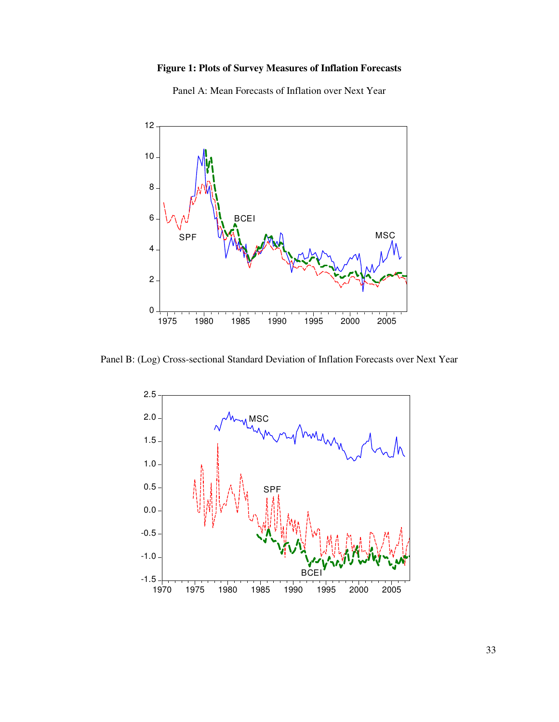# **Figure 1: Plots of Survey Measures of Inflation Forecasts**



Panel A: Mean Forecasts of Inflation over Next Year

Panel B: (Log) Cross-sectional Standard Deviation of Inflation Forecasts over Next Year

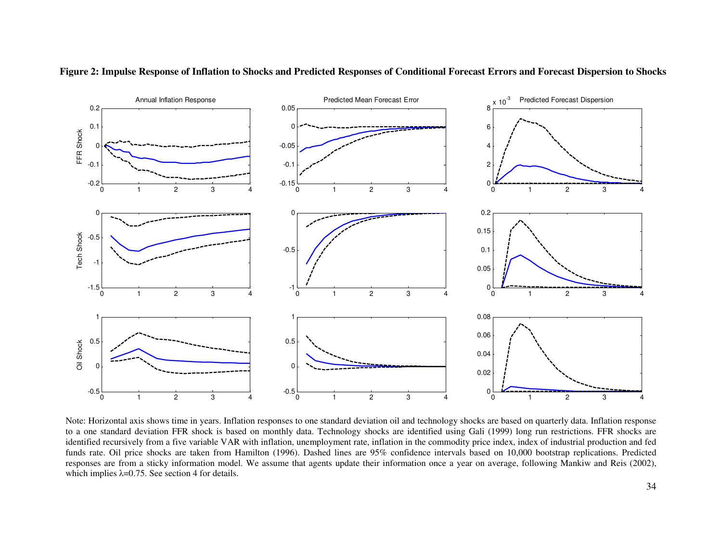

#### **Figure 2: Impulse Response of Inflation to Shocks and Predicted Responses of Conditional Forecast Errors and Forecast Dispersion to Shocks**

Note: Horizontal axis shows time in years. Inflation responses to one standard deviation oil and technology shocks are based on quarterly data. Inflation response to a one standard deviation FFR shock is based on monthly data. Technology shocks are identified using Gali (1999) long run restrictions. FFR shocks are identified recursively from a five variable VAR with inflation, unemployment rate, inflation in the commodity price index, index of industrial production and fed funds rate. Oil price shocks are taken from Hamilton (1996). Dashed lines are 95% confidence intervals based on 10,000 bootstrap replications. Predicted responses are from a sticky information model. We assume that agents update their information once a year on average, following Mankiw and Reis (2002), which implies  $\lambda$ =0.75. See section 4 for details.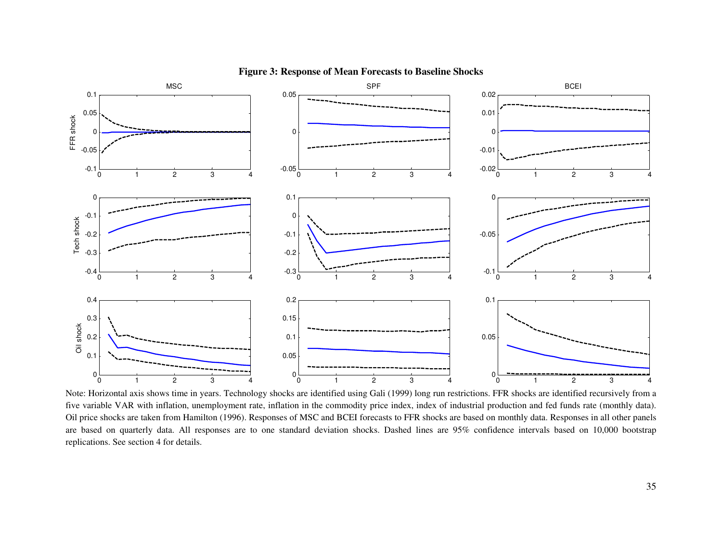

**Figure 3: Response of Mean Forecasts to Baseline Shocks** 

Note: Horizontal axis shows time in years. Technology shocks are identified using Gali (1999) long run restrictions. FFR shocks are identified recursively from a five variable VAR with inflation, unemployment rate, inflation in the commodity price index, index of industrial production and fed funds rate (monthly data). Oil price shocks are taken from Hamilton (1996). Responses of MSC and BCEI forecasts to FFR shocks are based on monthly data. Responses in all other panels are based on quarterly data. All responses are to one standard deviation shocks. Dashed lines are 95% confidence intervals based on 10,000 bootstrap replications. See section 4 for details.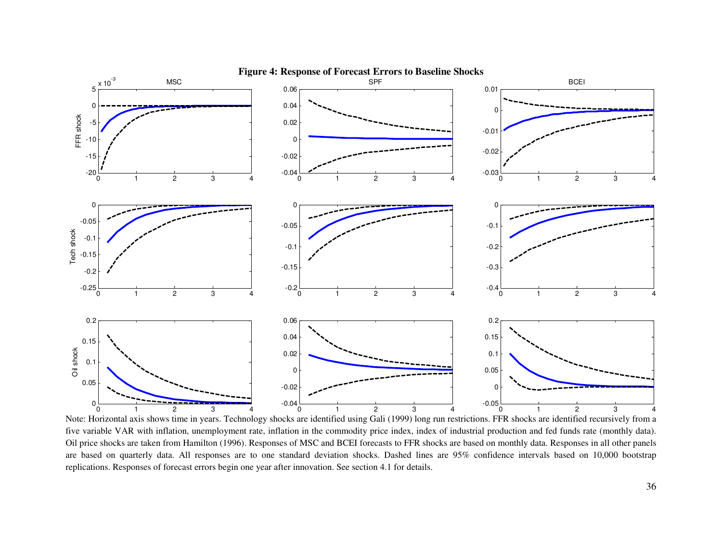

Note: Horizontal axis shows time in years. Technology shocks are identified using Gali (1999) long run restrictions. FFR shocks are identified recursively from a five variable VAR with inflation, unemployment rate, inflation in the commodity price index, index of industrial production and fed funds rate (monthly data). Oil price shocks are taken from Hamilton (1996). Responses of MSC and BCEI forecasts to FFR shocks are based on monthly data. Responses in all other panels are based on quarterly data. All responses are to one standard deviation shocks. Dashed lines are 95% confidence intervals based on 10,000 bootstrap replications. Responses of forecast errors begin one year after innovation. See section 4.1 for details.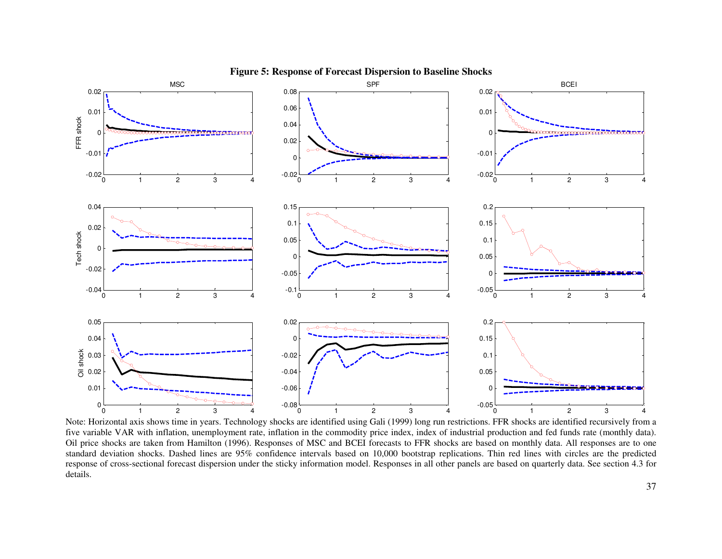

**Figure 5: Response of Forecast Dispersion to Baseline Shocks** 

Note: Horizontal axis shows time in years. Technology shocks are identified using Gali (1999) long run restrictions. FFR shocks are identified recursively from a five variable VAR with inflation, unemployment rate, inflation in the commodity price index, index of industrial production and fed funds rate (monthly data). Oil price shocks are taken from Hamilton (1996). Responses of MSC and BCEI forecasts to FFR shocks are based on monthly data. All responses are to one standard deviation shocks. Dashed lines are 95% confidence intervals based on 10,000 bootstrap replications. Thin red lines with circles are the predicted response of cross-sectional forecast dispersion under the sticky information model. Responses in all other panels are based on quarterly data. See section 4.3 for details.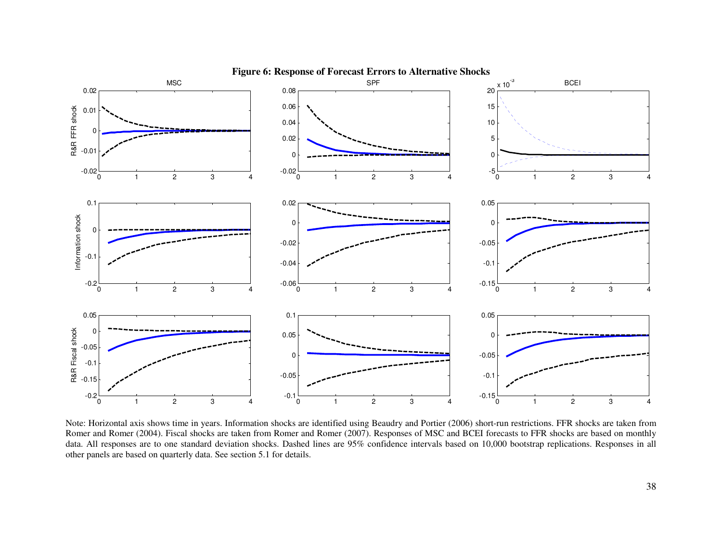

Note: Horizontal axis shows time in years. Information shocks are identified using Beaudry and Portier (2006) short-run restrictions. FFR shocks are taken from Romer and Romer (2004). Fiscal shocks are taken from Romer and Romer (2007). Responses of MSC and BCEI forecasts to FFR shocks are based on monthly data. All responses are to one standard deviation shocks. Dashed lines are 95% confidence intervals based on 10,000 bootstrap replications. Responses in all other panels are based on quarterly data. See section 5.1 for details.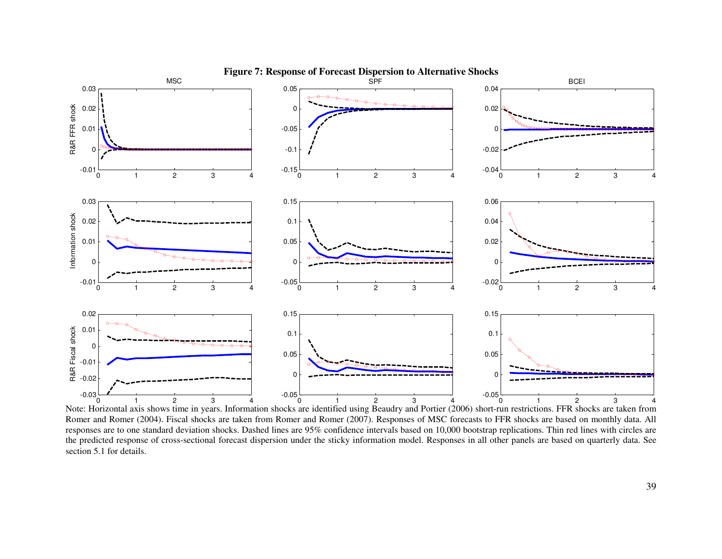

Romer and Romer (2004). Fiscal shocks are taken from Romer and Romer (2007). Responses of MSC forecasts to FFR shocks are based on monthly data. All responses are to one standard deviation shocks. Dashed lines are 95% confidence intervals based on 10,000 bootstrap replications. Thin red lines with circles are the predicted response of cross-sectional forecast dispersion under the sticky information model. Responses in all other panels are based on quarterly data. See section 5.1 for details.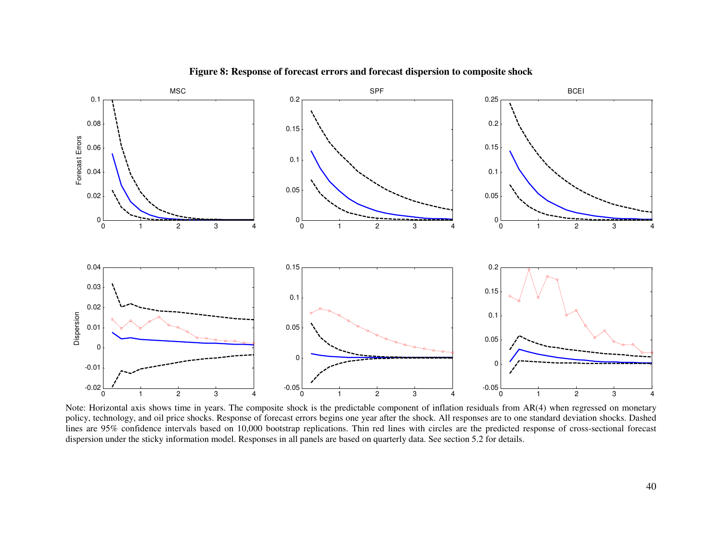

**Figure 8: Response of forecast errors and forecast dispersion to composite shock** 

Note: Horizontal axis shows time in years. The composite shock is the predictable component of inflation residuals from AR(4) when regressed on monetary policy, technology, and oil price shocks. Response of forecast errors begins one year after the shock. All responses are to one standard deviation shocks. Dashed lines are 95% confidence intervals based on 10,000 bootstrap replications. Thin red lines with circles are the predicted response of cross-sectional forecast dispersion under the sticky information model. Responses in all panels are based on quarterly data. See section 5.2 for details.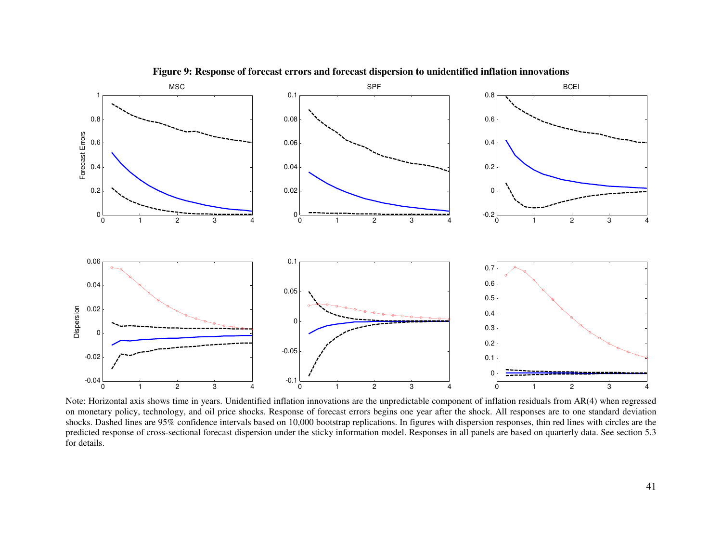

**Figure 9: Response of forecast errors and forecast dispersion to unidentified inflation innovations** 

Note: Horizontal axis shows time in years. Unidentified inflation innovations are the unpredictable component of inflation residuals from AR(4) when regressed on monetary policy, technology, and oil price shocks. Response of forecast errors begins one year after the shock. All responses are to one standard deviation shocks. Dashed lines are 95% confidence intervals based on 10,000 bootstrap replications. In figures with dispersion responses, thin red lines with circles are the predicted response of cross-sectional forecast dispersion under the sticky information model. Responses in all panels are based on quarterly data. See section 5.3 for details.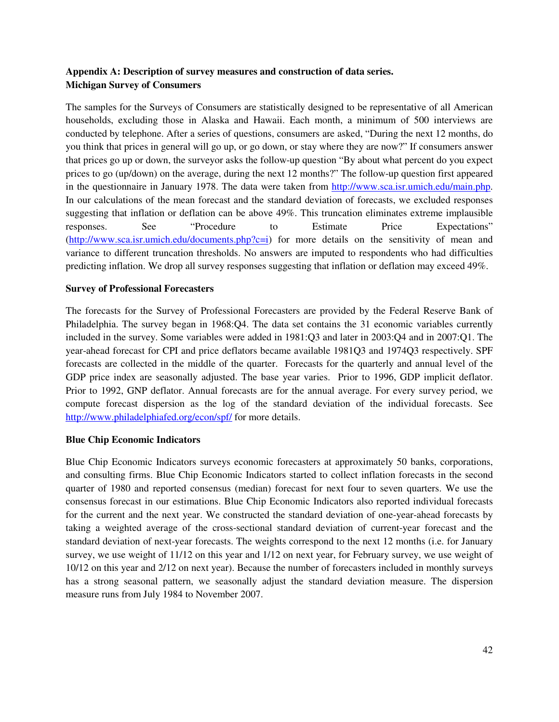## **Appendix A: Description of survey measures and construction of data series. Michigan Survey of Consumers**

The samples for the Surveys of Consumers are statistically designed to be representative of all American households, excluding those in Alaska and Hawaii. Each month, a minimum of 500 interviews are conducted by telephone. After a series of questions, consumers are asked, "During the next 12 months, do you think that prices in general will go up, or go down, or stay where they are now?" If consumers answer that prices go up or down, the surveyor asks the follow-up question "By about what percent do you expect prices to go (up/down) on the average, during the next 12 months?" The follow-up question first appeared in the questionnaire in January 1978. The data were taken from http://www.sca.isr.umich.edu/main.php. In our calculations of the mean forecast and the standard deviation of forecasts, we excluded responses suggesting that inflation or deflation can be above 49%. This truncation eliminates extreme implausible responses. See "Procedure to Estimate Price Expectations"  $(http://www.sca.isr.umich.edu/documents.php?c=i)$  for more details on the sensitivity of mean and variance to different truncation thresholds. No answers are imputed to respondents who had difficulties predicting inflation. We drop all survey responses suggesting that inflation or deflation may exceed 49%.

## **Survey of Professional Forecasters**

The forecasts for the Survey of Professional Forecasters are provided by the Federal Reserve Bank of Philadelphia. The survey began in 1968:Q4. The data set contains the 31 economic variables currently included in the survey. Some variables were added in 1981:Q3 and later in 2003:Q4 and in 2007:Q1. The year-ahead forecast for CPI and price deflators became available 1981Q3 and 1974Q3 respectively. SPF forecasts are collected in the middle of the quarter. Forecasts for the quarterly and annual level of the GDP price index are seasonally adjusted. The base year varies. Prior to 1996, GDP implicit deflator. Prior to 1992, GNP deflator. Annual forecasts are for the annual average. For every survey period, we compute forecast dispersion as the log of the standard deviation of the individual forecasts. See http://www.philadelphiafed.org/econ/spf/ for more details.

## **Blue Chip Economic Indicators**

Blue Chip Economic Indicators surveys economic forecasters at approximately 50 banks, corporations, and consulting firms. Blue Chip Economic Indicators started to collect inflation forecasts in the second quarter of 1980 and reported consensus (median) forecast for next four to seven quarters. We use the consensus forecast in our estimations. Blue Chip Economic Indicators also reported individual forecasts for the current and the next year. We constructed the standard deviation of one-year-ahead forecasts by taking a weighted average of the cross-sectional standard deviation of current-year forecast and the standard deviation of next-year forecasts. The weights correspond to the next 12 months (i.e. for January survey, we use weight of 11/12 on this year and 1/12 on next year, for February survey, we use weight of 10/12 on this year and 2/12 on next year). Because the number of forecasters included in monthly surveys has a strong seasonal pattern, we seasonally adjust the standard deviation measure. The dispersion measure runs from July 1984 to November 2007.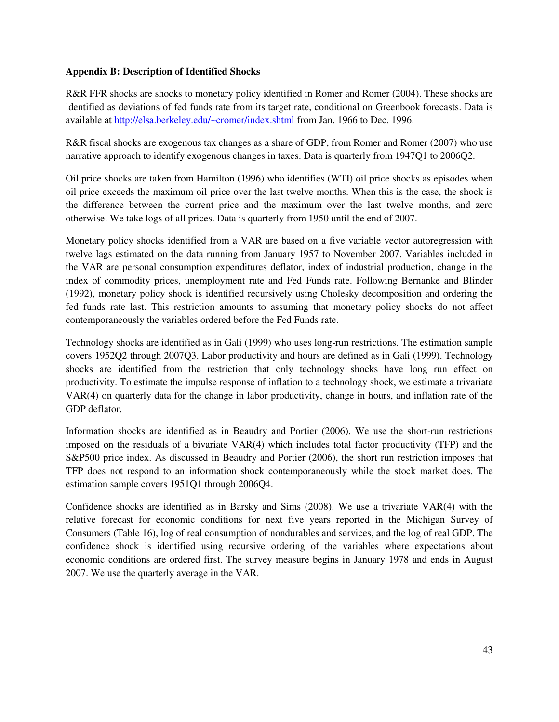## **Appendix B: Description of Identified Shocks**

R&R FFR shocks are shocks to monetary policy identified in Romer and Romer (2004). These shocks are identified as deviations of fed funds rate from its target rate, conditional on Greenbook forecasts. Data is available at http://elsa.berkeley.edu/~cromer/index.shtml from Jan. 1966 to Dec. 1996.

R&R fiscal shocks are exogenous tax changes as a share of GDP, from Romer and Romer (2007) who use narrative approach to identify exogenous changes in taxes. Data is quarterly from 1947Q1 to 2006Q2.

Oil price shocks are taken from Hamilton (1996) who identifies (WTI) oil price shocks as episodes when oil price exceeds the maximum oil price over the last twelve months. When this is the case, the shock is the difference between the current price and the maximum over the last twelve months, and zero otherwise. We take logs of all prices. Data is quarterly from 1950 until the end of 2007.

Monetary policy shocks identified from a VAR are based on a five variable vector autoregression with twelve lags estimated on the data running from January 1957 to November 2007. Variables included in the VAR are personal consumption expenditures deflator, index of industrial production, change in the index of commodity prices, unemployment rate and Fed Funds rate. Following Bernanke and Blinder (1992), monetary policy shock is identified recursively using Cholesky decomposition and ordering the fed funds rate last. This restriction amounts to assuming that monetary policy shocks do not affect contemporaneously the variables ordered before the Fed Funds rate.

Technology shocks are identified as in Gali (1999) who uses long-run restrictions. The estimation sample covers 1952Q2 through 2007Q3. Labor productivity and hours are defined as in Gali (1999). Technology shocks are identified from the restriction that only technology shocks have long run effect on productivity. To estimate the impulse response of inflation to a technology shock, we estimate a trivariate VAR(4) on quarterly data for the change in labor productivity, change in hours, and inflation rate of the GDP deflator.

Information shocks are identified as in Beaudry and Portier (2006). We use the short-run restrictions imposed on the residuals of a bivariate VAR(4) which includes total factor productivity (TFP) and the S&P500 price index. As discussed in Beaudry and Portier (2006), the short run restriction imposes that TFP does not respond to an information shock contemporaneously while the stock market does. The estimation sample covers 1951Q1 through 2006Q4.

Confidence shocks are identified as in Barsky and Sims (2008). We use a trivariate VAR(4) with the relative forecast for economic conditions for next five years reported in the Michigan Survey of Consumers (Table 16), log of real consumption of nondurables and services, and the log of real GDP. The confidence shock is identified using recursive ordering of the variables where expectations about economic conditions are ordered first. The survey measure begins in January 1978 and ends in August 2007. We use the quarterly average in the VAR.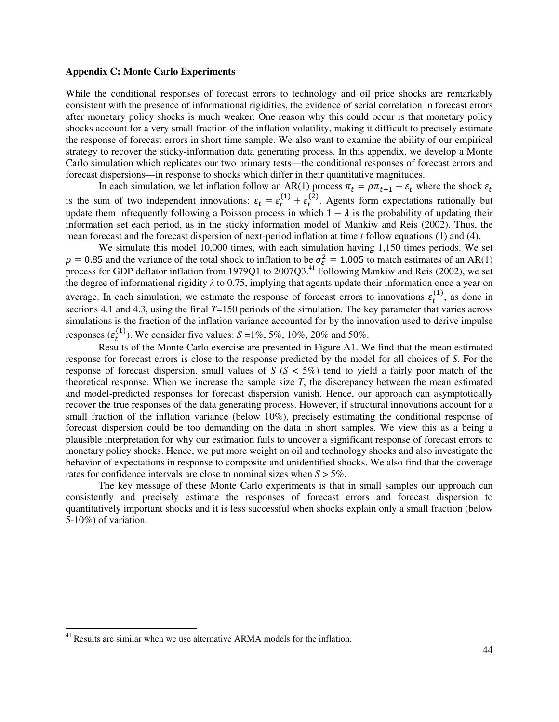#### **Appendix C: Monte Carlo Experiments**

While the conditional responses of forecast errors to technology and oil price shocks are remarkably consistent with the presence of informational rigidities, the evidence of serial correlation in forecast errors after monetary policy shocks is much weaker. One reason why this could occur is that monetary policy shocks account for a very small fraction of the inflation volatility, making it difficult to precisely estimate the response of forecast errors in short time sample. We also want to examine the ability of our empirical strategy to recover the sticky-information data generating process. In this appendix, we develop a Monte Carlo simulation which replicates our two primary tests—the conditional responses of forecast errors and forecast dispersions—in response to shocks which differ in their quantitative magnitudes.

In each simulation, we let inflation follow an AR(1) process  $\pi_t = \rho \pi_{t-1} + \varepsilon_t$  where the shock  $\varepsilon_t$ is the sum of two independent innovations:  $\varepsilon_t = \varepsilon_t^{(1)} + \varepsilon_t^{(2)}$ . Agents form expectations rationally but update them infrequently following a Poisson process in which  $1 - \lambda$  is the probability of updating their information set each period, as in the sticky information model of Mankiw and Reis (2002). Thus, the mean forecast and the forecast dispersion of next-period inflation at time *t* follow equations (1) and (4).

We simulate this model 10,000 times, with each simulation having 1,150 times periods. We set  $\rho = 0.85$  and the variance of the total shock to inflation to be  $\sigma_{\epsilon}^2 = 1.005$  to match estimates of an AR(1) process for GDP deflator inflation from 1979Q1 to 2007Q3.<sup>41</sup> Following Mankiw and Reis (2002), we set the degree of informational rigidity  $\lambda$  to 0.75, implying that agents update their information once a year on average. In each simulation, we estimate the response of forecast errors to innovations  $\varepsilon_t^{(1)}$ , as done in sections 4.1 and 4.3, using the final *T*=150 periods of the simulation. The key parameter that varies across simulations is the fraction of the inflation variance accounted for by the innovation used to derive impulse responses  $(\varepsilon_t^{(1)})$ . We consider five values:  $S=1\%$ , 5%, 10%, 20% and 50%.

Results of the Monte Carlo exercise are presented in Figure A1. We find that the mean estimated response for forecast errors is close to the response predicted by the model for all choices of *S*. For the response of forecast dispersion, small values of  $S(S < 5\%)$  tend to yield a fairly poor match of the theoretical response. When we increase the sample size *T*, the discrepancy between the mean estimated and model-predicted responses for forecast dispersion vanish. Hence, our approach can asymptotically recover the true responses of the data generating process. However, if structural innovations account for a small fraction of the inflation variance (below 10%), precisely estimating the conditional response of forecast dispersion could be too demanding on the data in short samples. We view this as a being a plausible interpretation for why our estimation fails to uncover a significant response of forecast errors to monetary policy shocks. Hence, we put more weight on oil and technology shocks and also investigate the behavior of expectations in response to composite and unidentified shocks. We also find that the coverage rates for confidence intervals are close to nominal sizes when *S* > 5%.

The key message of these Monte Carlo experiments is that in small samples our approach can consistently and precisely estimate the responses of forecast errors and forecast dispersion to quantitatively important shocks and it is less successful when shocks explain only a small fraction (below 5-10%) of variation.

 $41$  Results are similar when we use alternative ARMA models for the inflation.